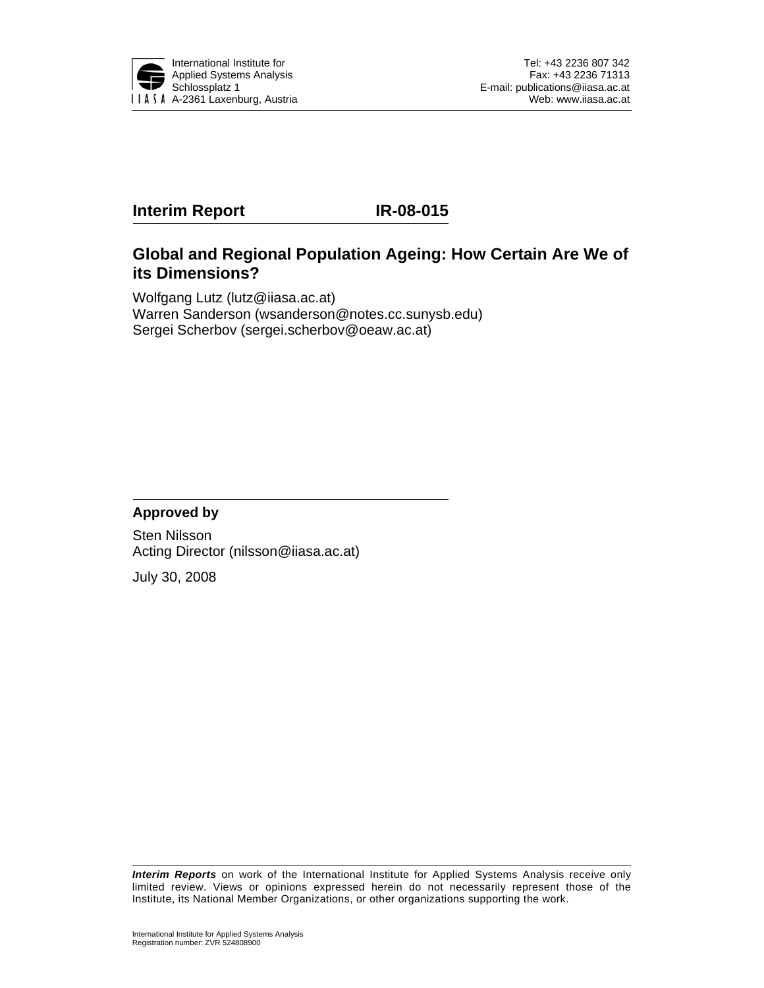

# **Interim Report IR-08-015**

## **Global and Regional Population Ageing: How Certain Are We of its Dimensions?**

Wolfgang Lutz (lutz@iiasa.ac.at) Warren Sanderson (wsanderson@notes.cc.sunysb.edu) Sergei Scherbov (sergei.scherbov@oeaw.ac.at)

#### **Approved by**

Sten Nilsson Acting Director (nilsson@iiasa.ac.at)

July 30, 2008

*Interim Reports* on work of the International Institute for Applied Systems Analysis receive only limited review. Views or opinions expressed herein do not necessarily represent those of the Institute, its National Member Organizations, or other organizations supporting the work.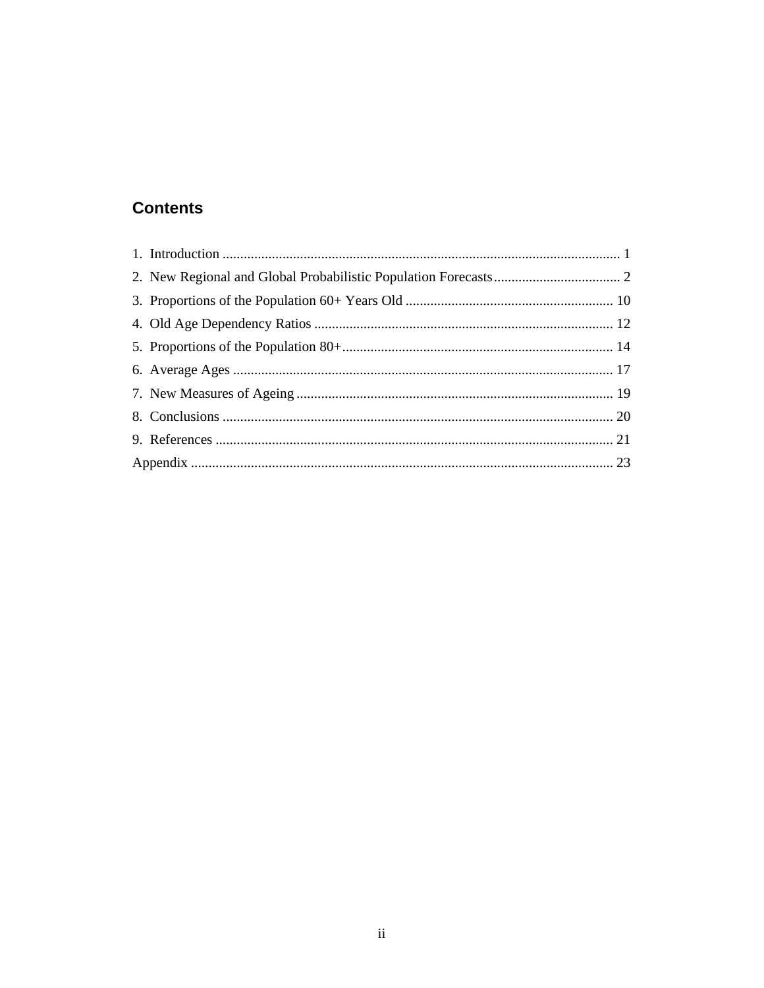# **Contents**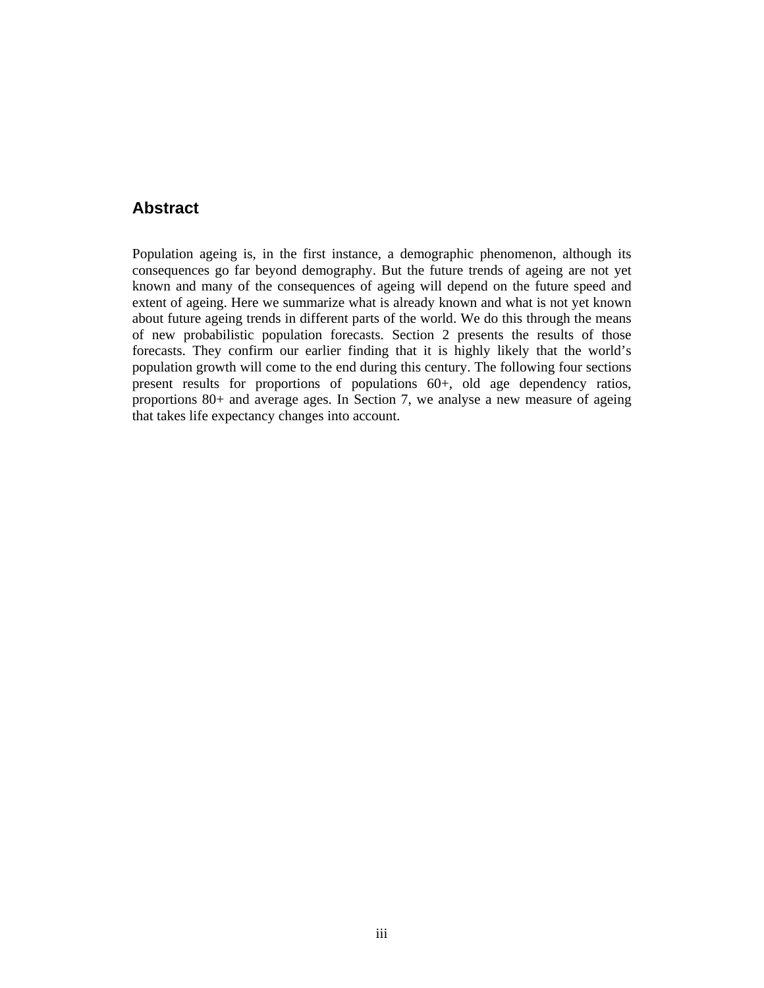## **Abstract**

Population ageing is, in the first instance, a demographic phenomenon, although its consequences go far beyond demography. But the future trends of ageing are not yet known and many of the consequences of ageing will depend on the future speed and extent of ageing. Here we summarize what is already known and what is not yet known about future ageing trends in different parts of the world. We do this through the means of new probabilistic population forecasts. Section 2 presents the results of those forecasts. They confirm our earlier finding that it is highly likely that the world's population growth will come to the end during this century. The following four sections present results for proportions of populations 60+, old age dependency ratios, proportions 80+ and average ages. In Section 7, we analyse a new measure of ageing that takes life expectancy changes into account.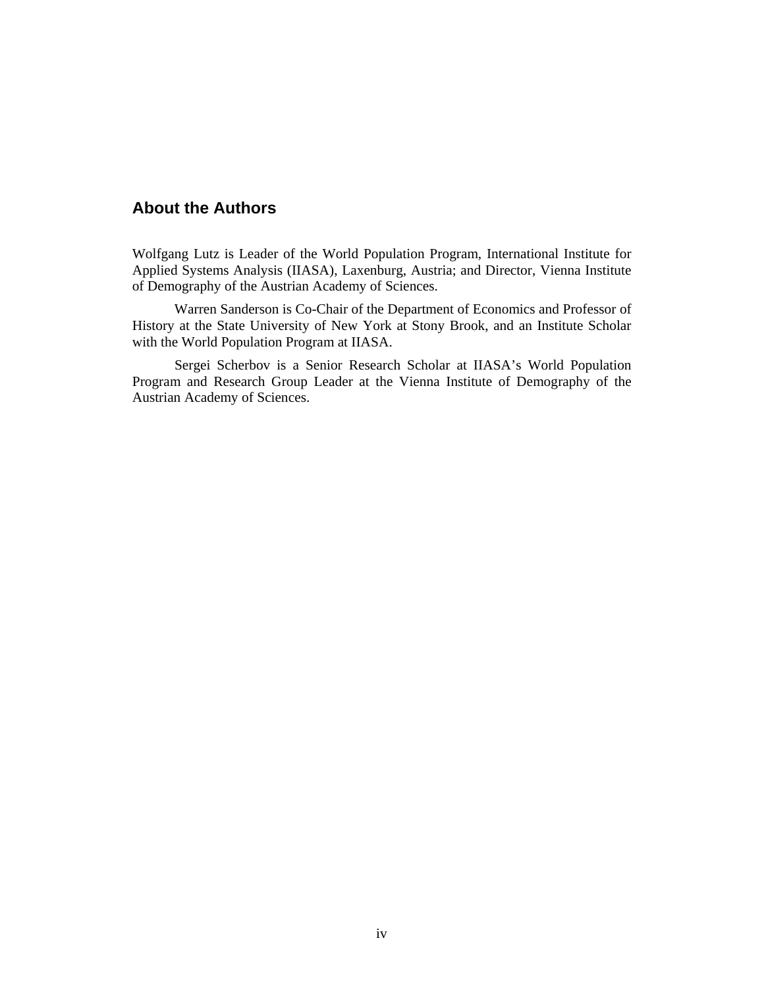# **About the Authors**

Wolfgang Lutz is Leader of the World Population Program, International Institute for Applied Systems Analysis (IIASA), Laxenburg, Austria; and Director, Vienna Institute of Demography of the Austrian Academy of Sciences.

Warren Sanderson is Co-Chair of the Department of Economics and Professor of History at the State University of New York at Stony Brook, and an Institute Scholar with the World Population Program at IIASA.

Sergei Scherbov is a Senior Research Scholar at IIASA's World Population Program and Research Group Leader at the Vienna Institute of Demography of the Austrian Academy of Sciences.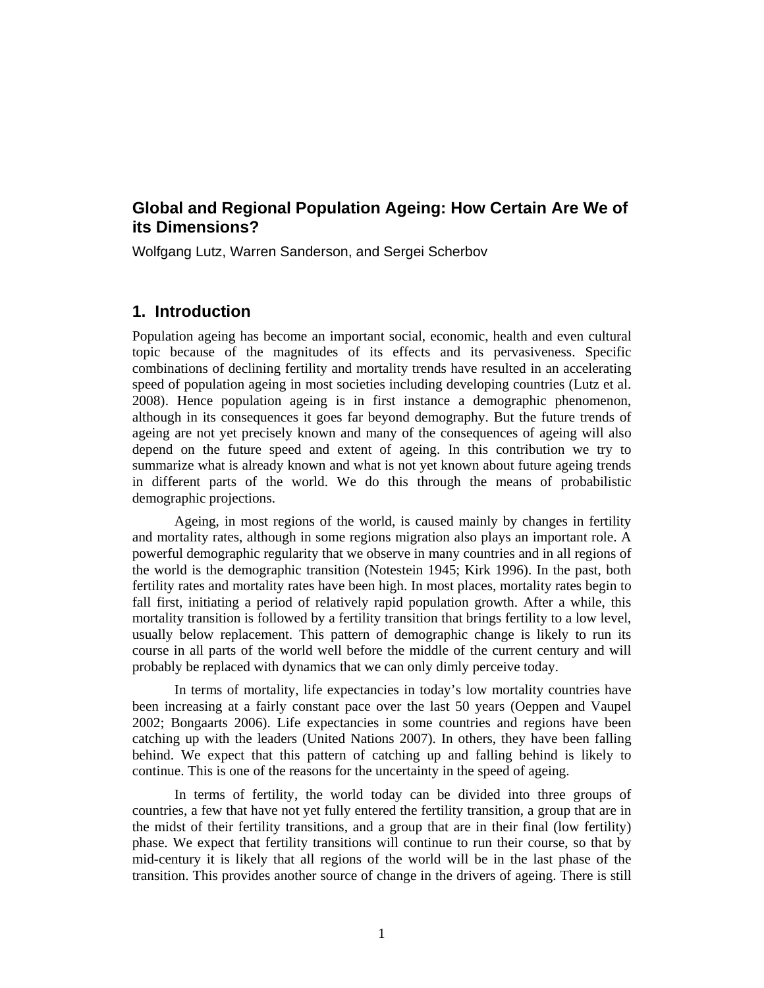# **Global and Regional Population Ageing: How Certain Are We of its Dimensions?**

Wolfgang Lutz, Warren Sanderson, and Sergei Scherbov

### **1. Introduction**

Population ageing has become an important social, economic, health and even cultural topic because of the magnitudes of its effects and its pervasiveness. Specific combinations of declining fertility and mortality trends have resulted in an accelerating speed of population ageing in most societies including developing countries (Lutz et al. 2008). Hence population ageing is in first instance a demographic phenomenon, although in its consequences it goes far beyond demography. But the future trends of ageing are not yet precisely known and many of the consequences of ageing will also depend on the future speed and extent of ageing. In this contribution we try to summarize what is already known and what is not yet known about future ageing trends in different parts of the world. We do this through the means of probabilistic demographic projections.

Ageing, in most regions of the world, is caused mainly by changes in fertility and mortality rates, although in some regions migration also plays an important role. A powerful demographic regularity that we observe in many countries and in all regions of the world is the demographic transition (Notestein 1945; Kirk 1996). In the past, both fertility rates and mortality rates have been high. In most places, mortality rates begin to fall first, initiating a period of relatively rapid population growth. After a while, this mortality transition is followed by a fertility transition that brings fertility to a low level, usually below replacement. This pattern of demographic change is likely to run its course in all parts of the world well before the middle of the current century and will probably be replaced with dynamics that we can only dimly perceive today.

In terms of mortality, life expectancies in today's low mortality countries have been increasing at a fairly constant pace over the last 50 years (Oeppen and Vaupel 2002; Bongaarts 2006). Life expectancies in some countries and regions have been catching up with the leaders (United Nations 2007). In others, they have been falling behind. We expect that this pattern of catching up and falling behind is likely to continue. This is one of the reasons for the uncertainty in the speed of ageing.

In terms of fertility, the world today can be divided into three groups of countries, a few that have not yet fully entered the fertility transition, a group that are in the midst of their fertility transitions, and a group that are in their final (low fertility) phase. We expect that fertility transitions will continue to run their course, so that by mid-century it is likely that all regions of the world will be in the last phase of the transition. This provides another source of change in the drivers of ageing. There is still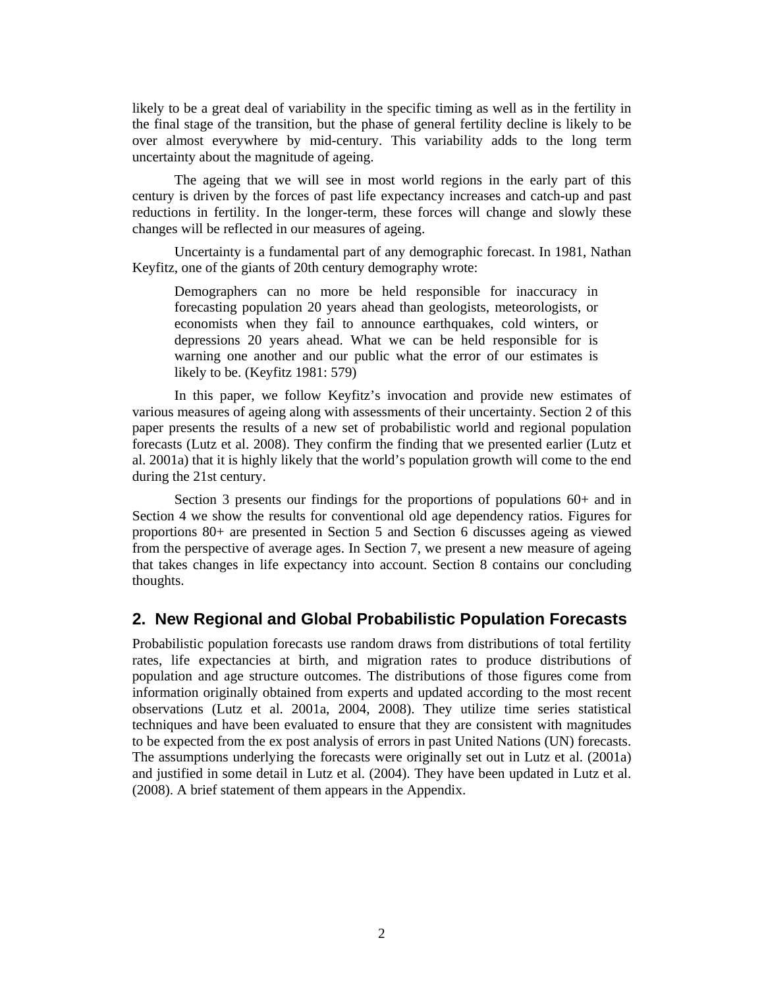likely to be a great deal of variability in the specific timing as well as in the fertility in the final stage of the transition, but the phase of general fertility decline is likely to be over almost everywhere by mid-century. This variability adds to the long term uncertainty about the magnitude of ageing.

The ageing that we will see in most world regions in the early part of this century is driven by the forces of past life expectancy increases and catch-up and past reductions in fertility. In the longer-term, these forces will change and slowly these changes will be reflected in our measures of ageing.

Uncertainty is a fundamental part of any demographic forecast. In 1981, Nathan Keyfitz, one of the giants of 20th century demography wrote:

Demographers can no more be held responsible for inaccuracy in forecasting population 20 years ahead than geologists, meteorologists, or economists when they fail to announce earthquakes, cold winters, or depressions 20 years ahead. What we can be held responsible for is warning one another and our public what the error of our estimates is likely to be. (Keyfitz 1981: 579)

In this paper, we follow Keyfitz's invocation and provide new estimates of various measures of ageing along with assessments of their uncertainty. Section 2 of this paper presents the results of a new set of probabilistic world and regional population forecasts (Lutz et al. 2008). They confirm the finding that we presented earlier (Lutz et al. 2001a) that it is highly likely that the world's population growth will come to the end during the 21st century.

Section 3 presents our findings for the proportions of populations 60+ and in Section 4 we show the results for conventional old age dependency ratios. Figures for proportions 80+ are presented in Section 5 and Section 6 discusses ageing as viewed from the perspective of average ages. In Section 7, we present a new measure of ageing that takes changes in life expectancy into account. Section 8 contains our concluding thoughts.

#### **2. New Regional and Global Probabilistic Population Forecasts**

Probabilistic population forecasts use random draws from distributions of total fertility rates, life expectancies at birth, and migration rates to produce distributions of population and age structure outcomes. The distributions of those figures come from information originally obtained from experts and updated according to the most recent observations (Lutz et al. 2001a, 2004, 2008). They utilize time series statistical techniques and have been evaluated to ensure that they are consistent with magnitudes to be expected from the ex post analysis of errors in past United Nations (UN) forecasts. The assumptions underlying the forecasts were originally set out in Lutz et al. (2001a) and justified in some detail in Lutz et al. (2004). They have been updated in Lutz et al. (2008). A brief statement of them appears in the Appendix.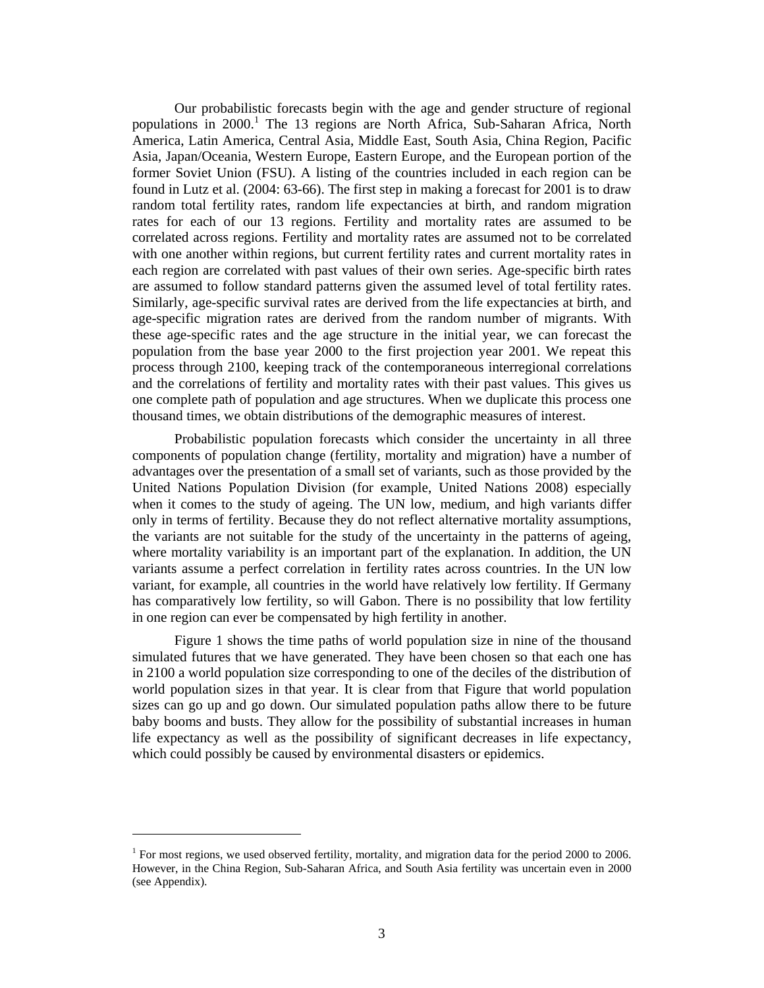Our probabilistic forecasts begin with the age and gender structure of regional populations in 2000.<sup>1</sup> The 13 regions are North Africa, Sub-Saharan Africa, North America, Latin America, Central Asia, Middle East, South Asia, China Region, Pacific Asia, Japan/Oceania, Western Europe, Eastern Europe, and the European portion of the former Soviet Union (FSU). A listing of the countries included in each region can be found in Lutz et al. (2004: 63-66). The first step in making a forecast for 2001 is to draw random total fertility rates, random life expectancies at birth, and random migration rates for each of our 13 regions. Fertility and mortality rates are assumed to be correlated across regions. Fertility and mortality rates are assumed not to be correlated with one another within regions, but current fertility rates and current mortality rates in each region are correlated with past values of their own series. Age-specific birth rates are assumed to follow standard patterns given the assumed level of total fertility rates. Similarly, age-specific survival rates are derived from the life expectancies at birth, and age-specific migration rates are derived from the random number of migrants. With these age-specific rates and the age structure in the initial year, we can forecast the population from the base year 2000 to the first projection year 2001. We repeat this process through 2100, keeping track of the contemporaneous interregional correlations and the correlations of fertility and mortality rates with their past values. This gives us one complete path of population and age structures. When we duplicate this process one thousand times, we obtain distributions of the demographic measures of interest.

Probabilistic population forecasts which consider the uncertainty in all three components of population change (fertility, mortality and migration) have a number of advantages over the presentation of a small set of variants, such as those provided by the United Nations Population Division (for example, United Nations 2008) especially when it comes to the study of ageing. The UN low, medium, and high variants differ only in terms of fertility. Because they do not reflect alternative mortality assumptions, the variants are not suitable for the study of the uncertainty in the patterns of ageing, where mortality variability is an important part of the explanation. In addition, the UN variants assume a perfect correlation in fertility rates across countries. In the UN low variant, for example, all countries in the world have relatively low fertility. If Germany has comparatively low fertility, so will Gabon. There is no possibility that low fertility in one region can ever be compensated by high fertility in another.

Figure 1 shows the time paths of world population size in nine of the thousand simulated futures that we have generated. They have been chosen so that each one has in 2100 a world population size corresponding to one of the deciles of the distribution of world population sizes in that year. It is clear from that Figure that world population sizes can go up and go down. Our simulated population paths allow there to be future baby booms and busts. They allow for the possibility of substantial increases in human life expectancy as well as the possibility of significant decreases in life expectancy, which could possibly be caused by environmental disasters or epidemics.

 $\overline{a}$ 

<sup>&</sup>lt;sup>1</sup> For most regions, we used observed fertility, mortality, and migration data for the period 2000 to 2006. However, in the China Region, Sub-Saharan Africa, and South Asia fertility was uncertain even in 2000 (see Appendix).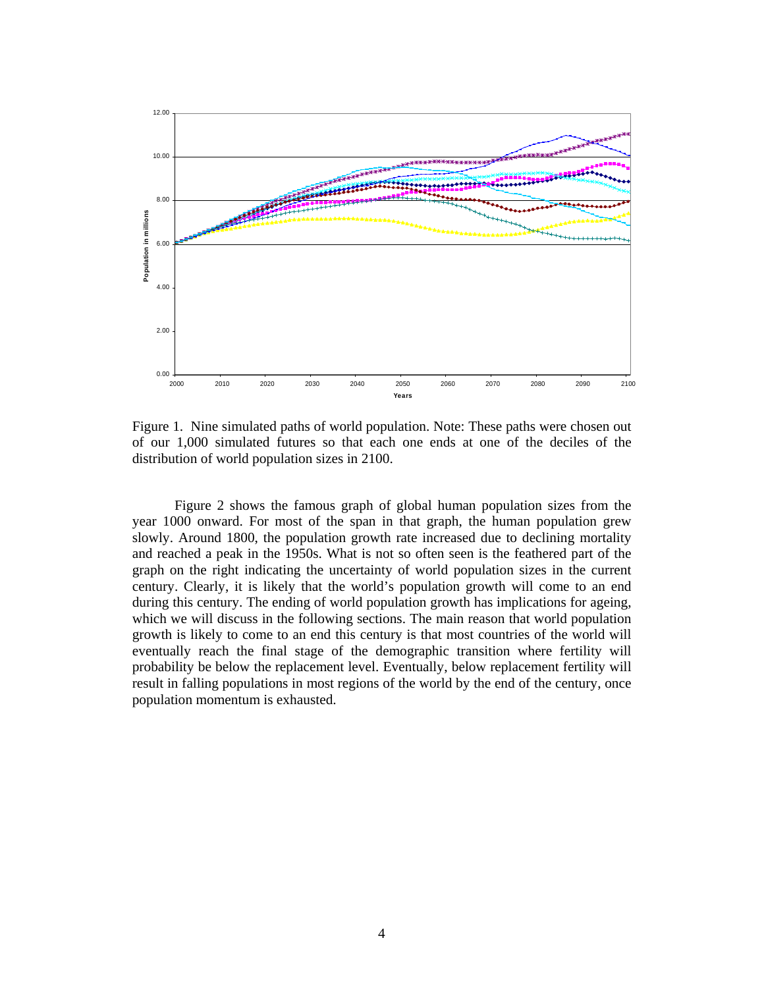

Figure 1. Nine simulated paths of world population. Note: These paths were chosen out of our 1,000 simulated futures so that each one ends at one of the deciles of the distribution of world population sizes in 2100.

Figure 2 shows the famous graph of global human population sizes from the year 1000 onward. For most of the span in that graph, the human population grew slowly. Around 1800, the population growth rate increased due to declining mortality and reached a peak in the 1950s. What is not so often seen is the feathered part of the graph on the right indicating the uncertainty of world population sizes in the current century. Clearly, it is likely that the world's population growth will come to an end during this century. The ending of world population growth has implications for ageing, which we will discuss in the following sections. The main reason that world population growth is likely to come to an end this century is that most countries of the world will eventually reach the final stage of the demographic transition where fertility will probability be below the replacement level. Eventually, below replacement fertility will result in falling populations in most regions of the world by the end of the century, once population momentum is exhausted.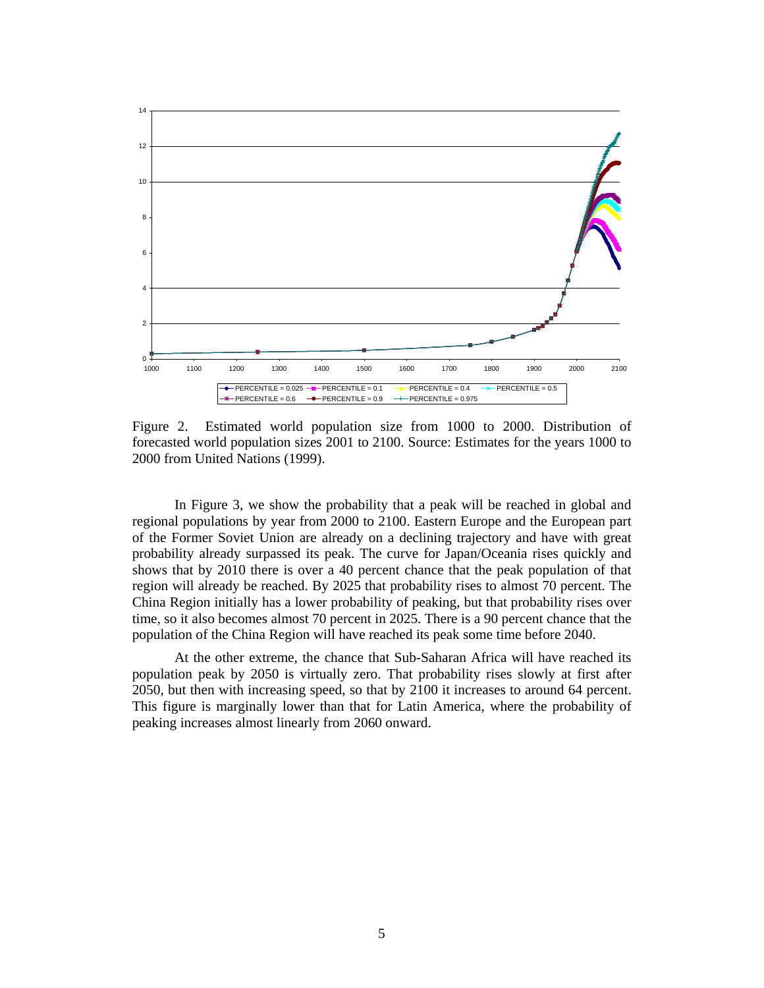

Figure 2. Estimated world population size from 1000 to 2000. Distribution of forecasted world population sizes 2001 to 2100. Source: Estimates for the years 1000 to 2000 from United Nations (1999).

In Figure 3, we show the probability that a peak will be reached in global and regional populations by year from 2000 to 2100. Eastern Europe and the European part of the Former Soviet Union are already on a declining trajectory and have with great probability already surpassed its peak. The curve for Japan/Oceania rises quickly and shows that by 2010 there is over a 40 percent chance that the peak population of that region will already be reached. By 2025 that probability rises to almost 70 percent. The China Region initially has a lower probability of peaking, but that probability rises over time, so it also becomes almost 70 percent in 2025. There is a 90 percent chance that the population of the China Region will have reached its peak some time before 2040.

At the other extreme, the chance that Sub-Saharan Africa will have reached its population peak by 2050 is virtually zero. That probability rises slowly at first after 2050, but then with increasing speed, so that by 2100 it increases to around 64 percent. This figure is marginally lower than that for Latin America, where the probability of peaking increases almost linearly from 2060 onward.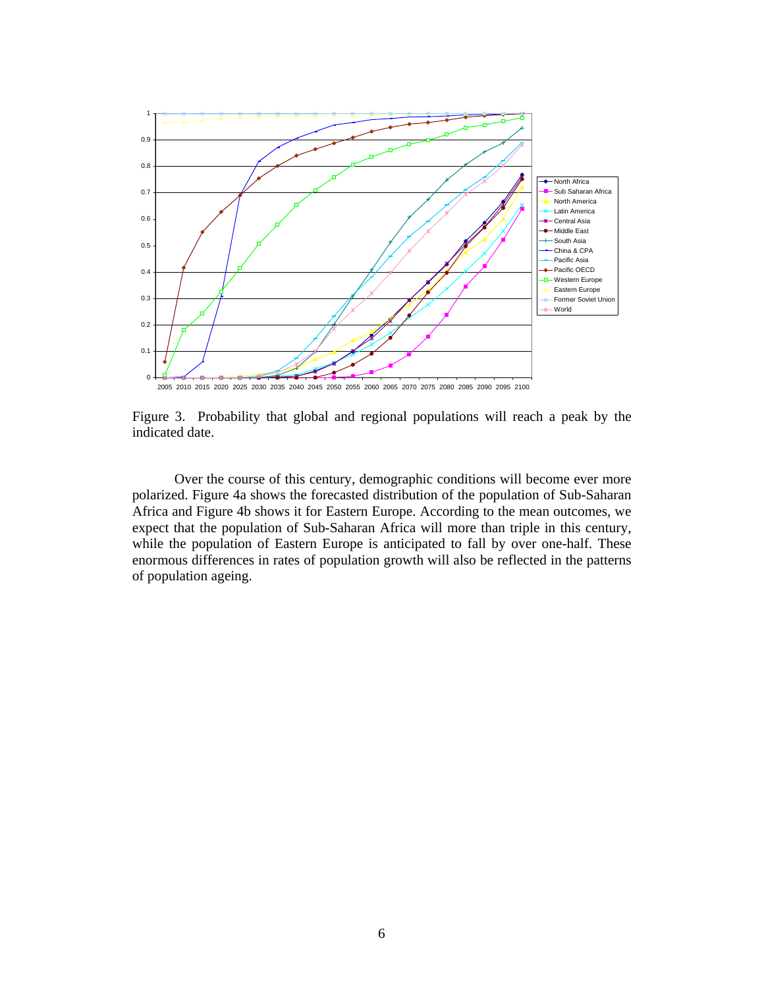

Figure 3. Probability that global and regional populations will reach a peak by the indicated date.

Over the course of this century, demographic conditions will become ever more polarized. Figure 4a shows the forecasted distribution of the population of Sub-Saharan Africa and Figure 4b shows it for Eastern Europe. According to the mean outcomes, we expect that the population of Sub-Saharan Africa will more than triple in this century, while the population of Eastern Europe is anticipated to fall by over one-half. These enormous differences in rates of population growth will also be reflected in the patterns of population ageing.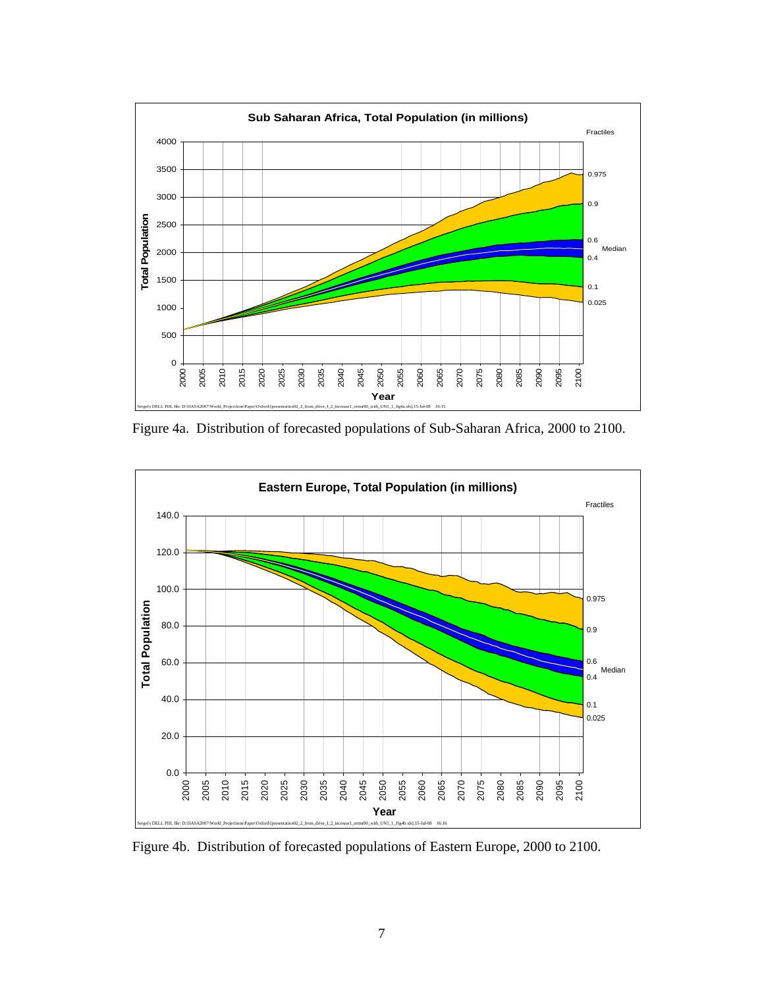

Figure 4a. Distribution of forecasted populations of Sub-Saharan Africa, 2000 to 2100.



Figure 4b. Distribution of forecasted populations of Eastern Europe, 2000 to 2100.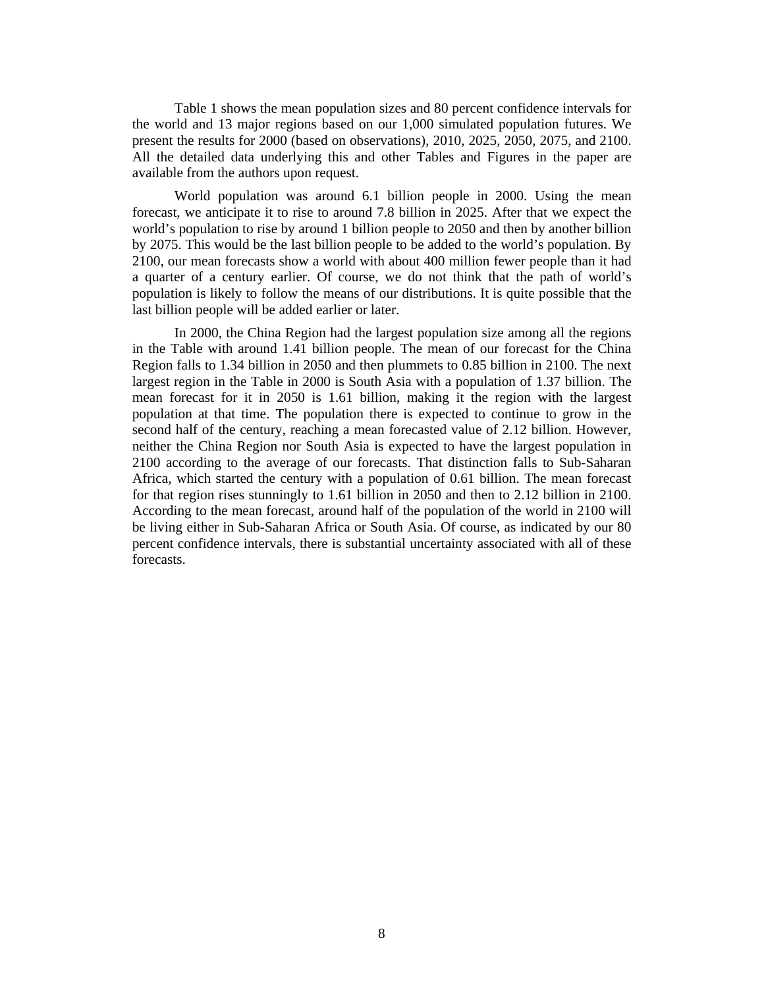Table 1 shows the mean population sizes and 80 percent confidence intervals for the world and 13 major regions based on our 1,000 simulated population futures. We present the results for 2000 (based on observations), 2010, 2025, 2050, 2075, and 2100. All the detailed data underlying this and other Tables and Figures in the paper are available from the authors upon request.

World population was around 6.1 billion people in 2000. Using the mean forecast, we anticipate it to rise to around 7.8 billion in 2025. After that we expect the world's population to rise by around 1 billion people to 2050 and then by another billion by 2075. This would be the last billion people to be added to the world's population. By 2100, our mean forecasts show a world with about 400 million fewer people than it had a quarter of a century earlier. Of course, we do not think that the path of world's population is likely to follow the means of our distributions. It is quite possible that the last billion people will be added earlier or later.

In 2000, the China Region had the largest population size among all the regions in the Table with around 1.41 billion people. The mean of our forecast for the China Region falls to 1.34 billion in 2050 and then plummets to 0.85 billion in 2100. The next largest region in the Table in 2000 is South Asia with a population of 1.37 billion. The mean forecast for it in 2050 is 1.61 billion, making it the region with the largest population at that time. The population there is expected to continue to grow in the second half of the century, reaching a mean forecasted value of 2.12 billion. However, neither the China Region nor South Asia is expected to have the largest population in 2100 according to the average of our forecasts. That distinction falls to Sub-Saharan Africa, which started the century with a population of 0.61 billion. The mean forecast for that region rises stunningly to 1.61 billion in 2050 and then to 2.12 billion in 2100. According to the mean forecast, around half of the population of the world in 2100 will be living either in Sub-Saharan Africa or South Asia. Of course, as indicated by our 80 percent confidence intervals, there is substantial uncertainty associated with all of these forecasts.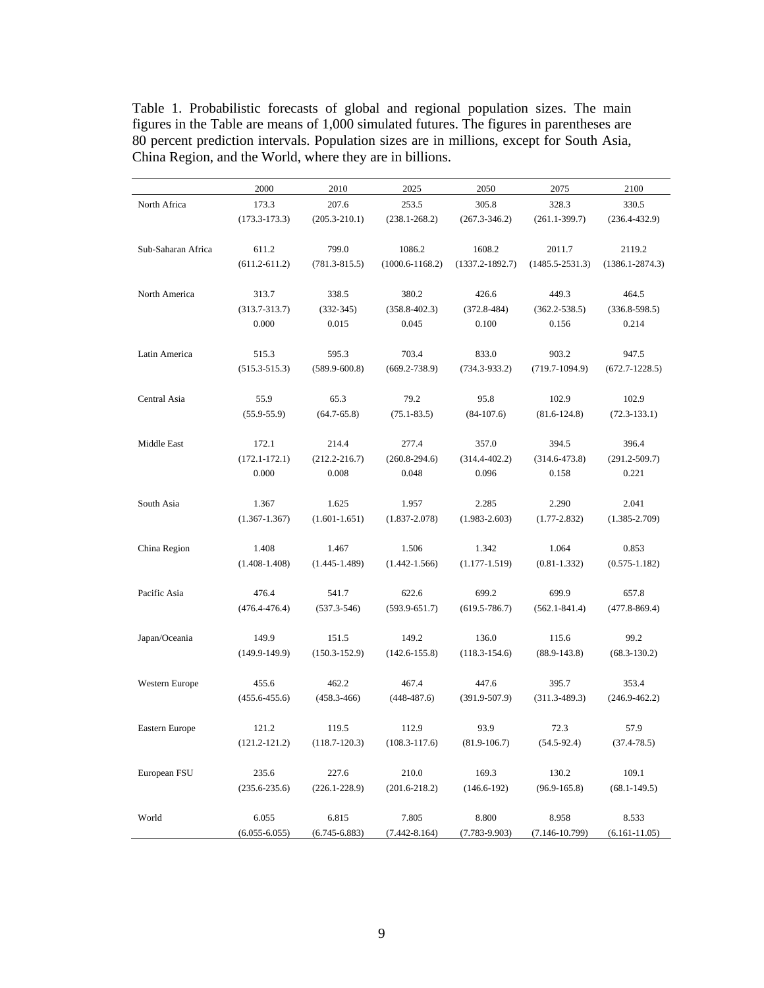Table 1. Probabilistic forecasts of global and regional population sizes. The main figures in the Table are means of 1,000 simulated futures. The figures in parentheses are 80 percent prediction intervals. Population sizes are in millions, except for South Asia, China Region, and the World, where they are in billions.

|                    | 2000              | 2010              | 2025                | 2050                | 2075                | 2100                |
|--------------------|-------------------|-------------------|---------------------|---------------------|---------------------|---------------------|
| North Africa       | 173.3             | 207.6             | 253.5               | 305.8               | 328.3               | 330.5               |
|                    | $(173.3 - 173.3)$ | $(205.3 - 210.1)$ | $(238.1 - 268.2)$   | $(267.3 - 346.2)$   | $(261.1 - 399.7)$   | $(236.4 - 432.9)$   |
|                    |                   |                   |                     |                     |                     |                     |
| Sub-Saharan Africa | 611.2             | 799.0             | 1086.2              | 1608.2              | 2011.7              | 2119.2              |
|                    | $(611.2 - 611.2)$ | $(781.3 - 815.5)$ | $(1000.6 - 1168.2)$ | $(1337.2 - 1892.7)$ | $(1485.5 - 2531.3)$ | $(1386.1 - 2874.3)$ |
|                    |                   |                   |                     |                     |                     |                     |
| North America      | 313.7             | 338.5             | 380.2               | 426.6               | 449.3               | 464.5               |
|                    | $(313.7 - 313.7)$ | $(332 - 345)$     | $(358.8 - 402.3)$   | $(372.8 - 484)$     | $(362.2 - 538.5)$   | $(336.8 - 598.5)$   |
|                    | 0.000             | 0.015             | 0.045               | 0.100               | 0.156               | 0.214               |
|                    |                   |                   |                     |                     |                     |                     |
| Latin America      | 515.3             | 595.3             | 703.4               | 833.0               | 903.2               | 947.5               |
|                    | $(515.3 - 515.3)$ | $(589.9 - 600.8)$ | $(669.2 - 738.9)$   | $(734.3 - 933.2)$   | $(719.7-1094.9)$    | $(672.7 - 1228.5)$  |
| Central Asia       | 55.9              | 65.3              | 79.2                | 95.8                | 102.9               | 102.9               |
|                    | $(55.9 - 55.9)$   | $(64.7 - 65.8)$   | $(75.1 - 83.5)$     | $(84-107.6)$        | $(81.6 - 124.8)$    | $(72.3 - 133.1)$    |
|                    |                   |                   |                     |                     |                     |                     |
| Middle East        | 172.1             | 214.4             | 277.4               | 357.0               | 394.5               | 396.4               |
|                    | $(172.1 - 172.1)$ | $(212.2 - 216.7)$ | $(260.8-294.6)$     | $(314.4 - 402.2)$   | $(314.6 - 473.8)$   | $(291.2 - 509.7)$   |
|                    | 0.000             | 0.008             | 0.048               | 0.096               | 0.158               | 0.221               |
|                    |                   |                   |                     |                     |                     |                     |
| South Asia         | 1.367             | 1.625             | 1.957               | 2.285               | 2.290               | 2.041               |
|                    | $(1.367 - 1.367)$ | $(1.601 - 1.651)$ | $(1.837 - 2.078)$   | $(1.983 - 2.603)$   | $(1.77 - 2.832)$    | $(1.385 - 2.709)$   |
|                    |                   |                   |                     |                     |                     |                     |
| China Region       | 1.408             | 1.467             | 1.506               | 1.342               | 1.064               | 0.853               |
|                    | $(1.408 - 1.408)$ | $(1.445 - 1.489)$ | $(1.442 - 1.566)$   | $(1.177 - 1.519)$   | $(0.81 - 1.332)$    | $(0.575 - 1.182)$   |
|                    |                   |                   |                     |                     |                     |                     |
| Pacific Asia       | 476.4             | 541.7             | 622.6               | 699.2               | 699.9               | 657.8               |
|                    | $(476.4 - 476.4)$ | $(537.3 - 546)$   | $(593.9 - 651.7)$   | $(619.5 - 786.7)$   | $(562.1 - 841.4)$   | $(477.8 - 869.4)$   |
|                    |                   |                   |                     |                     |                     |                     |
| Japan/Oceania      | 149.9             | 151.5             | 149.2               | 136.0               | 115.6               | 99.2                |
|                    | $(149.9 - 149.9)$ | $(150.3 - 152.9)$ | $(142.6 - 155.8)$   | $(118.3 - 154.6)$   | $(88.9 - 143.8)$    | $(68.3 - 130.2)$    |
| Western Europe     | 455.6             | 462.2             | 467.4               | 447.6               | 395.7               | 353.4               |
|                    | $(455.6 - 455.6)$ | $(458.3 - 466)$   | $(448-487.6)$       | $(391.9 - 507.9)$   | $(311.3 - 489.3)$   | $(246.9 - 462.2)$   |
|                    |                   |                   |                     |                     |                     |                     |
| Eastern Europe     | 121.2             | 119.5             | 112.9               | 93.9                | 72.3                | 57.9                |
|                    | $(121.2 - 121.2)$ | $(118.7 - 120.3)$ | $(108.3 - 117.6)$   | $(81.9 - 106.7)$    | $(54.5-92.4)$       | $(37.4 - 78.5)$     |
|                    |                   |                   |                     |                     |                     |                     |
| European FSU       | 235.6             | 227.6             | 210.0               | 169.3               | 130.2               | 109.1               |
|                    | $(235.6 - 235.6)$ | $(226.1 - 228.9)$ | $(201.6 - 218.2)$   | $(146.6-192)$       | $(96.9 - 165.8)$    | $(68.1 - 149.5)$    |
|                    |                   |                   |                     |                     |                     |                     |
| World              | 6.055             | 6.815             | 7.805               | 8.800               | 8.958               | 8.533               |
|                    | $(6.055 - 6.055)$ | $(6.745 - 6.883)$ | $(7.442 - 8.164)$   | $(7.783 - 9.903)$   | $(7.146 - 10.799)$  | $(6.161 - 11.05)$   |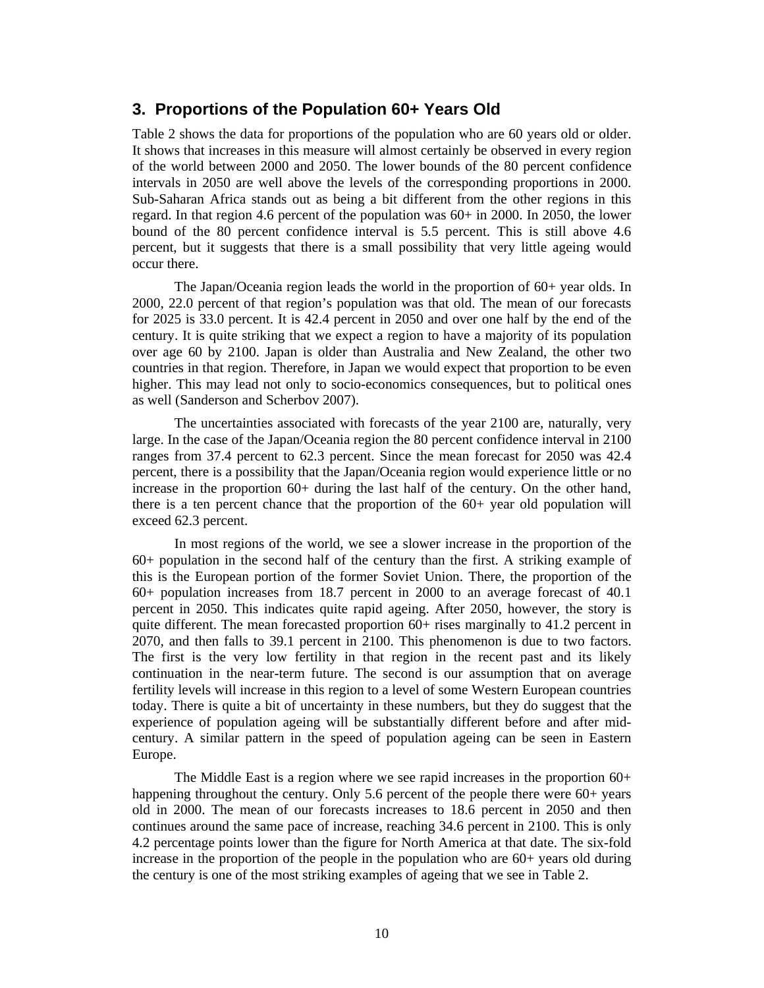#### **3. Proportions of the Population 60+ Years Old**

Table 2 shows the data for proportions of the population who are 60 years old or older. It shows that increases in this measure will almost certainly be observed in every region of the world between 2000 and 2050. The lower bounds of the 80 percent confidence intervals in 2050 are well above the levels of the corresponding proportions in 2000. Sub-Saharan Africa stands out as being a bit different from the other regions in this regard. In that region 4.6 percent of the population was  $60+$  in 2000. In 2050, the lower bound of the 80 percent confidence interval is 5.5 percent. This is still above 4.6 percent, but it suggests that there is a small possibility that very little ageing would occur there.

The Japan/Oceania region leads the world in the proportion of 60+ year olds. In 2000, 22.0 percent of that region's population was that old. The mean of our forecasts for 2025 is 33.0 percent. It is 42.4 percent in 2050 and over one half by the end of the century. It is quite striking that we expect a region to have a majority of its population over age 60 by 2100. Japan is older than Australia and New Zealand, the other two countries in that region. Therefore, in Japan we would expect that proportion to be even higher. This may lead not only to socio-economics consequences, but to political ones as well (Sanderson and Scherbov 2007).

The uncertainties associated with forecasts of the year 2100 are, naturally, very large. In the case of the Japan/Oceania region the 80 percent confidence interval in 2100 ranges from 37.4 percent to 62.3 percent. Since the mean forecast for 2050 was 42.4 percent, there is a possibility that the Japan/Oceania region would experience little or no increase in the proportion 60+ during the last half of the century. On the other hand, there is a ten percent chance that the proportion of the 60+ year old population will exceed 62.3 percent.

In most regions of the world, we see a slower increase in the proportion of the 60+ population in the second half of the century than the first. A striking example of this is the European portion of the former Soviet Union. There, the proportion of the 60+ population increases from 18.7 percent in 2000 to an average forecast of 40.1 percent in 2050. This indicates quite rapid ageing. After 2050, however, the story is quite different. The mean forecasted proportion  $60+$  rises marginally to 41.2 percent in 2070, and then falls to 39.1 percent in 2100. This phenomenon is due to two factors. The first is the very low fertility in that region in the recent past and its likely continuation in the near-term future. The second is our assumption that on average fertility levels will increase in this region to a level of some Western European countries today. There is quite a bit of uncertainty in these numbers, but they do suggest that the experience of population ageing will be substantially different before and after midcentury. A similar pattern in the speed of population ageing can be seen in Eastern Europe.

The Middle East is a region where we see rapid increases in the proportion 60+ happening throughout the century. Only 5.6 percent of the people there were 60+ years old in 2000. The mean of our forecasts increases to 18.6 percent in 2050 and then continues around the same pace of increase, reaching 34.6 percent in 2100. This is only 4.2 percentage points lower than the figure for North America at that date. The six-fold increase in the proportion of the people in the population who are 60+ years old during the century is one of the most striking examples of ageing that we see in Table 2.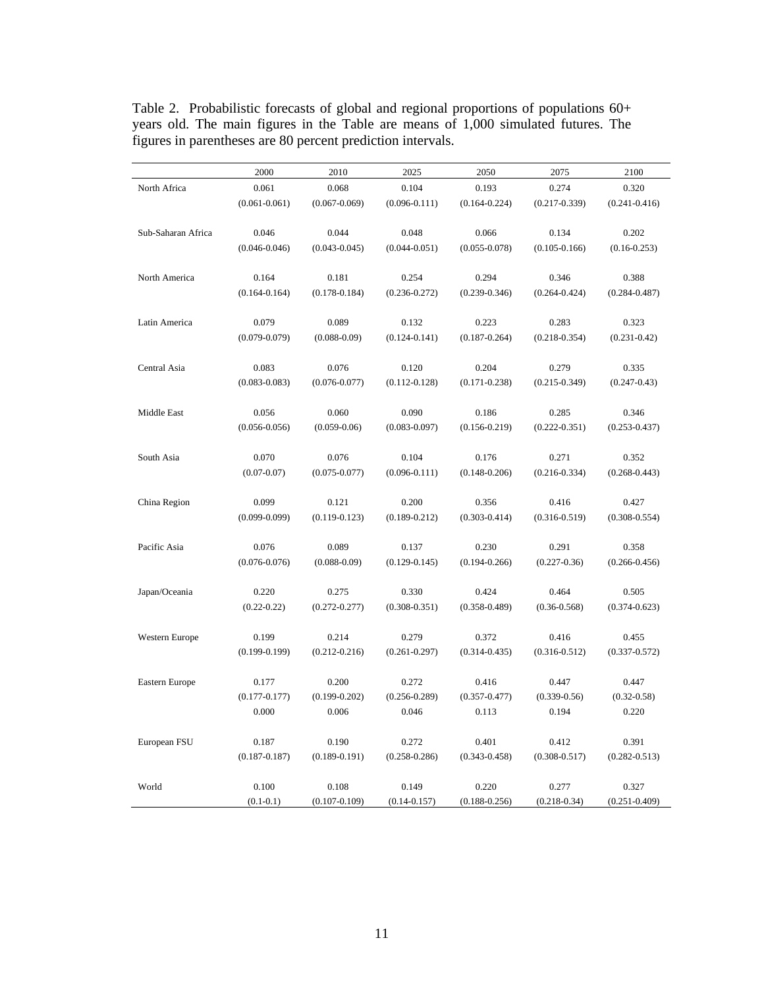2000 2010 2025 2050 2075 2100 North Africa 0.061 0.068 0.104 0.193 0.274 0.320 (0.061-0.061) (0.067-0.069) (0.096-0.111) (0.164-0.224) (0.217-0.339) (0.241-0.416) Sub-Saharan Africa 0.046 0.044 0.048 0.066 0.134 0.202 (0.046-0.046) (0.043-0.045) (0.044-0.051) (0.055-0.078) (0.105-0.166) (0.16-0.253) North America 0.164 0.181 0.254 0.294 0.346 0.388 (0.164-0.164) (0.178-0.184) (0.236-0.272) (0.239-0.346) (0.264-0.424) (0.284-0.487) Latin America 0.079 0.089 0.132 0.223 0.283 0.323 (0.079-0.079) (0.088-0.09) (0.124-0.141) (0.187-0.264) (0.218-0.354) (0.231-0.42) Central Asia 0.083 0.076 0.120 0.204 0.279 0.335 (0.083-0.083) (0.076-0.077) (0.112-0.128) (0.171-0.238) (0.215-0.349) (0.247-0.43) Middle East 0.056 0.060 0.090 0.186 0.285 0.346 (0.056-0.056) (0.059-0.06) (0.083-0.097) (0.156-0.219) (0.222-0.351) (0.253-0.437) South Asia **0.070** 0.076 0.104 0.176 0.271 0.352  $(0.07-0.07)$   $(0.075-0.077)$   $(0.096-0.111)$   $(0.148-0.206)$   $(0.216-0.334)$   $(0.268-0.443)$ China Region 0.099 0.121 0.200 0.356 0.416 0.427 (0.099-0.099) (0.119-0.123) (0.189-0.212) (0.303-0.414) (0.316-0.519) (0.308-0.554) Pacific Asia  $0.076$   $0.089$  0.137  $0.230$  0.291 0.358 (0.076-0.076) (0.088-0.09) (0.129-0.145) (0.194-0.266) (0.227-0.36) (0.266-0.456) Japan/Oceania 0.220 0.275 0.330 0.424 0.464 0.505 (0.22-0.22) (0.272-0.277) (0.308-0.351) (0.358-0.489) (0.36-0.568) (0.374-0.623) Western Europe 0.199 0.214 0.279 0.372 0.416 0.455 (0.199-0.199) (0.212-0.216) (0.261-0.297) (0.314-0.435) (0.316-0.512) (0.337-0.572) Eastern Europe 0.177 0.200 0.272 0.416 0.447 0.447 (0.177-0.177) (0.199-0.202) (0.256-0.289) (0.357-0.477) (0.339-0.56) (0.32-0.58) 0.000 0.006 0.046 0.113 0.194 0.220 European FSU 0.187 0.190 0.272 0.401 0.412 0.391 (0.187-0.187) (0.189-0.191) (0.258-0.286) (0.343-0.458) (0.308-0.517) (0.282-0.513) World 0.100 0.108 0.149 0.220 0.277 0.327  $(0.1-0.1)$   $(0.107-0.109)$   $(0.14-0.157)$   $(0.188-0.256)$   $(0.218-0.34)$   $(0.251-0.409)$ 

Table 2. Probabilistic forecasts of global and regional proportions of populations 60+ years old. The main figures in the Table are means of 1,000 simulated futures. The figures in parentheses are 80 percent prediction intervals.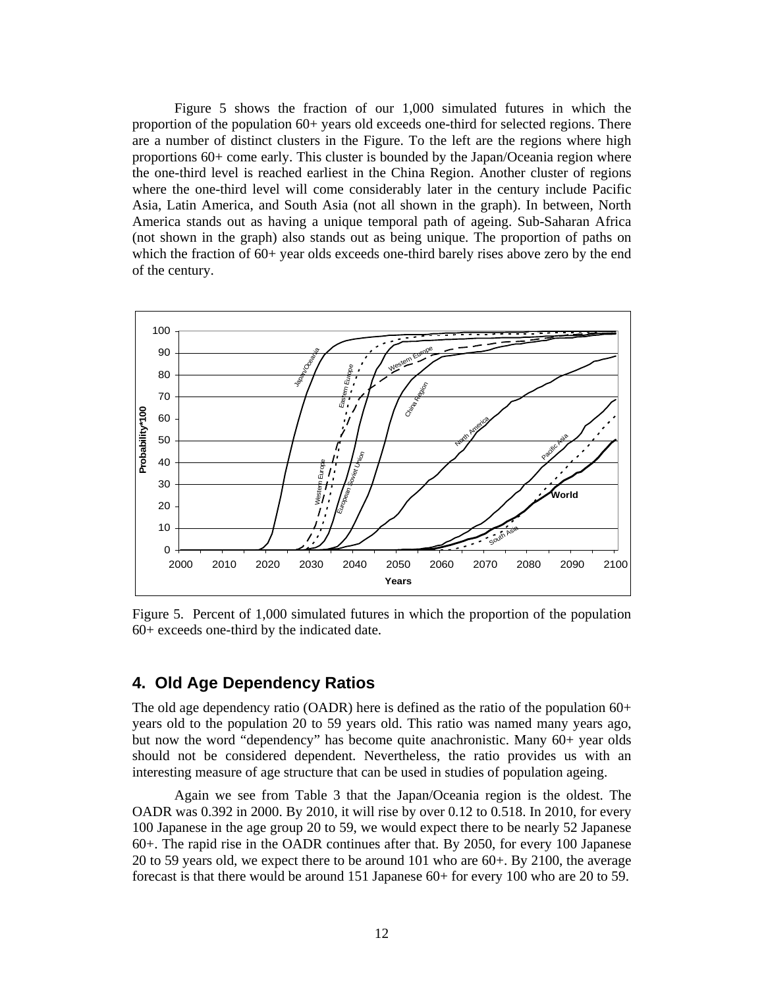Figure 5 shows the fraction of our 1,000 simulated futures in which the proportion of the population 60+ years old exceeds one-third for selected regions. There are a number of distinct clusters in the Figure. To the left are the regions where high proportions 60+ come early. This cluster is bounded by the Japan/Oceania region where the one-third level is reached earliest in the China Region. Another cluster of regions where the one-third level will come considerably later in the century include Pacific Asia, Latin America, and South Asia (not all shown in the graph). In between, North America stands out as having a unique temporal path of ageing. Sub-Saharan Africa (not shown in the graph) also stands out as being unique. The proportion of paths on which the fraction of 60+ year olds exceeds one-third barely rises above zero by the end of the century.



Figure 5. Percent of 1,000 simulated futures in which the proportion of the population 60+ exceeds one-third by the indicated date.

#### **4. Old Age Dependency Ratios**

The old age dependency ratio (OADR) here is defined as the ratio of the population 60+ years old to the population 20 to 59 years old. This ratio was named many years ago, but now the word "dependency" has become quite anachronistic. Many 60+ year olds should not be considered dependent. Nevertheless, the ratio provides us with an interesting measure of age structure that can be used in studies of population ageing.

Again we see from Table 3 that the Japan/Oceania region is the oldest. The OADR was 0.392 in 2000. By 2010, it will rise by over 0.12 to 0.518. In 2010, for every 100 Japanese in the age group 20 to 59, we would expect there to be nearly 52 Japanese 60+. The rapid rise in the OADR continues after that. By 2050, for every 100 Japanese 20 to 59 years old, we expect there to be around 101 who are 60+. By 2100, the average forecast is that there would be around 151 Japanese  $60+$  for every 100 who are 20 to 59.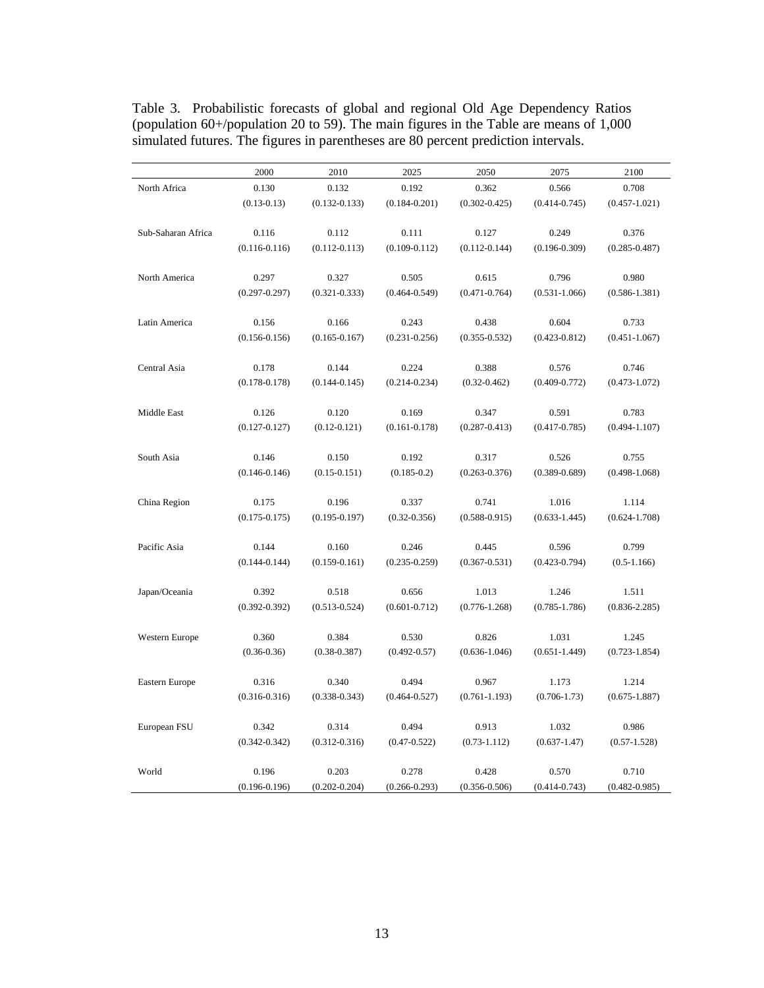Table 3. Probabilistic forecasts of global and regional Old Age Dependency Ratios (population 60+/population 20 to 59). The main figures in the Table are means of 1,000 simulated futures. The figures in parentheses are 80 percent prediction intervals.

|                    | 2000                       | 2010                       | 2025                       | 2050                       | 2075                       | 2100                       |
|--------------------|----------------------------|----------------------------|----------------------------|----------------------------|----------------------------|----------------------------|
| North Africa       | 0.130                      | 0.132                      | 0.192                      | 0.362                      | 0.566                      | 0.708                      |
|                    | $(0.13 - 0.13)$            | $(0.132 - 0.133)$          | $(0.184 - 0.201)$          | $(0.302 - 0.425)$          | $(0.414 - 0.745)$          | $(0.457 - 1.021)$          |
|                    |                            |                            |                            |                            |                            |                            |
| Sub-Saharan Africa | 0.116                      | 0.112                      | 0.111                      | 0.127                      | 0.249                      | 0.376                      |
|                    | $(0.116 - 0.116)$          | $(0.112 - 0.113)$          | $(0.109 - 0.112)$          | $(0.112 - 0.144)$          | $(0.196 - 0.309)$          | $(0.285 - 0.487)$          |
|                    |                            |                            |                            |                            |                            |                            |
| North America      | 0.297                      | 0.327                      | 0.505                      | 0.615                      | 0.796                      | 0.980                      |
|                    | $(0.297 - 0.297)$          | $(0.321 - 0.333)$          | $(0.464 - 0.549)$          | $(0.471 - 0.764)$          | $(0.531 - 1.066)$          | $(0.586 - 1.381)$          |
|                    |                            |                            |                            |                            |                            |                            |
| Latin America      | 0.156                      | 0.166                      | 0.243                      | 0.438                      | 0.604                      | 0.733                      |
|                    | $(0.156 - 0.156)$          | $(0.165 - 0.167)$          | $(0.231 - 0.256)$          | $(0.355 - 0.532)$          | $(0.423 - 0.812)$          | $(0.451 - 1.067)$          |
| Central Asia       | 0.178                      | 0.144                      | 0.224                      | 0.388                      | 0.576                      | 0.746                      |
|                    | $(0.178 - 0.178)$          | $(0.144 - 0.145)$          | $(0.214 - 0.234)$          | $(0.32 - 0.462)$           | $(0.409 - 0.772)$          | $(0.473 - 1.072)$          |
|                    |                            |                            |                            |                            |                            |                            |
| Middle East        | 0.126                      | 0.120                      | 0.169                      | 0.347                      | 0.591                      | 0.783                      |
|                    | $(0.127 - 0.127)$          | $(0.12 - 0.121)$           | $(0.161 - 0.178)$          | $(0.287 - 0.413)$          | $(0.417 - 0.785)$          | $(0.494 - 1.107)$          |
|                    |                            |                            |                            |                            |                            |                            |
| South Asia         | 0.146                      | 0.150                      | 0.192                      | 0.317                      | 0.526                      | 0.755                      |
|                    | $(0.146 - 0.146)$          | $(0.15 - 0.151)$           | $(0.185 - 0.2)$            | $(0.263 - 0.376)$          | $(0.389 - 0.689)$          | $(0.498 - 1.068)$          |
|                    |                            |                            |                            |                            |                            |                            |
| China Region       | 0.175                      | 0.196                      | 0.337                      | 0.741                      | 1.016                      | 1.114                      |
|                    | $(0.175 - 0.175)$          | $(0.195 - 0.197)$          | $(0.32 - 0.356)$           | $(0.588 - 0.915)$          | $(0.633 - 1.445)$          | $(0.624 - 1.708)$          |
|                    |                            |                            |                            |                            |                            |                            |
| Pacific Asia       | 0.144                      | 0.160                      | 0.246                      | 0.445                      | 0.596                      | 0.799                      |
|                    | $(0.144 - 0.144)$          | $(0.159 - 0.161)$          | $(0.235 - 0.259)$          | $(0.367 - 0.531)$          | $(0.423 - 0.794)$          | $(0.5-1.166)$              |
|                    |                            |                            |                            |                            |                            |                            |
| Japan/Oceania      | 0.392<br>$(0.392 - 0.392)$ | 0.518<br>$(0.513 - 0.524)$ | 0.656<br>$(0.601 - 0.712)$ | 1.013<br>$(0.776 - 1.268)$ | 1.246<br>$(0.785 - 1.786)$ | 1.511<br>$(0.836 - 2.285)$ |
|                    |                            |                            |                            |                            |                            |                            |
| Western Europe     | 0.360                      | 0.384                      | 0.530                      | 0.826                      | 1.031                      | 1.245                      |
|                    | $(0.36 - 0.36)$            | $(0.38 - 0.387)$           | $(0.492 - 0.57)$           | $(0.636 - 1.046)$          | $(0.651 - 1.449)$          | $(0.723 - 1.854)$          |
|                    |                            |                            |                            |                            |                            |                            |
| Eastern Europe     | 0.316                      | 0.340                      | 0.494                      | 0.967                      | 1.173                      | 1.214                      |
|                    | $(0.316 - 0.316)$          | $(0.338 - 0.343)$          | $(0.464 - 0.527)$          | $(0.761 - 1.193)$          | $(0.706 - 1.73)$           | $(0.675 - 1.887)$          |
|                    |                            |                            |                            |                            |                            |                            |
| European FSU       | 0.342                      | 0.314                      | 0.494                      | 0.913                      | 1.032                      | 0.986                      |
|                    | $(0.342 - 0.342)$          | $(0.312 - 0.316)$          | $(0.47 - 0.522)$           | $(0.73 - 1.112)$           | $(0.637 - 1.47)$           | $(0.57 - 1.528)$           |
|                    |                            |                            |                            |                            |                            |                            |
| World              | 0.196                      | 0.203                      | 0.278                      | 0.428                      | 0.570                      | 0.710                      |
|                    | $(0.196 - 0.196)$          | $(0.202 - 0.204)$          | $(0.266 - 0.293)$          | $(0.356 - 0.506)$          | $(0.414 - 0.743)$          | $(0.482 - 0.985)$          |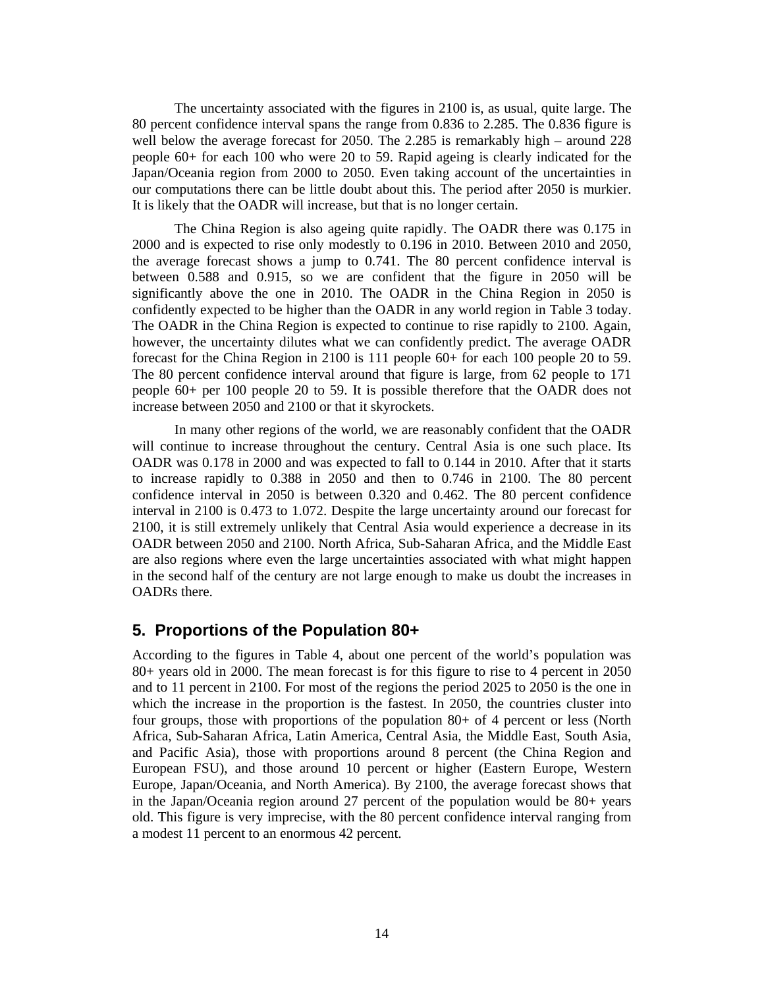The uncertainty associated with the figures in 2100 is, as usual, quite large. The 80 percent confidence interval spans the range from 0.836 to 2.285. The 0.836 figure is well below the average forecast for 2050. The 2.285 is remarkably high – around 228 people 60+ for each 100 who were 20 to 59. Rapid ageing is clearly indicated for the Japan/Oceania region from 2000 to 2050. Even taking account of the uncertainties in our computations there can be little doubt about this. The period after 2050 is murkier. It is likely that the OADR will increase, but that is no longer certain.

The China Region is also ageing quite rapidly. The OADR there was 0.175 in 2000 and is expected to rise only modestly to 0.196 in 2010. Between 2010 and 2050, the average forecast shows a jump to 0.741. The 80 percent confidence interval is between 0.588 and 0.915, so we are confident that the figure in 2050 will be significantly above the one in 2010. The OADR in the China Region in 2050 is confidently expected to be higher than the OADR in any world region in Table 3 today. The OADR in the China Region is expected to continue to rise rapidly to 2100. Again, however, the uncertainty dilutes what we can confidently predict. The average OADR forecast for the China Region in 2100 is 111 people 60+ for each 100 people 20 to 59. The 80 percent confidence interval around that figure is large, from 62 people to 171 people 60+ per 100 people 20 to 59. It is possible therefore that the OADR does not increase between 2050 and 2100 or that it skyrockets.

In many other regions of the world, we are reasonably confident that the OADR will continue to increase throughout the century. Central Asia is one such place. Its OADR was 0.178 in 2000 and was expected to fall to 0.144 in 2010. After that it starts to increase rapidly to 0.388 in 2050 and then to 0.746 in 2100. The 80 percent confidence interval in 2050 is between 0.320 and 0.462. The 80 percent confidence interval in 2100 is 0.473 to 1.072. Despite the large uncertainty around our forecast for 2100, it is still extremely unlikely that Central Asia would experience a decrease in its OADR between 2050 and 2100. North Africa, Sub-Saharan Africa, and the Middle East are also regions where even the large uncertainties associated with what might happen in the second half of the century are not large enough to make us doubt the increases in OADRs there.

## **5. Proportions of the Population 80+**

According to the figures in Table 4, about one percent of the world's population was 80+ years old in 2000. The mean forecast is for this figure to rise to 4 percent in 2050 and to 11 percent in 2100. For most of the regions the period 2025 to 2050 is the one in which the increase in the proportion is the fastest. In 2050, the countries cluster into four groups, those with proportions of the population 80+ of 4 percent or less (North Africa, Sub-Saharan Africa, Latin America, Central Asia, the Middle East, South Asia, and Pacific Asia), those with proportions around 8 percent (the China Region and European FSU), and those around 10 percent or higher (Eastern Europe, Western Europe, Japan/Oceania, and North America). By 2100, the average forecast shows that in the Japan/Oceania region around 27 percent of the population would be 80+ years old. This figure is very imprecise, with the 80 percent confidence interval ranging from a modest 11 percent to an enormous 42 percent.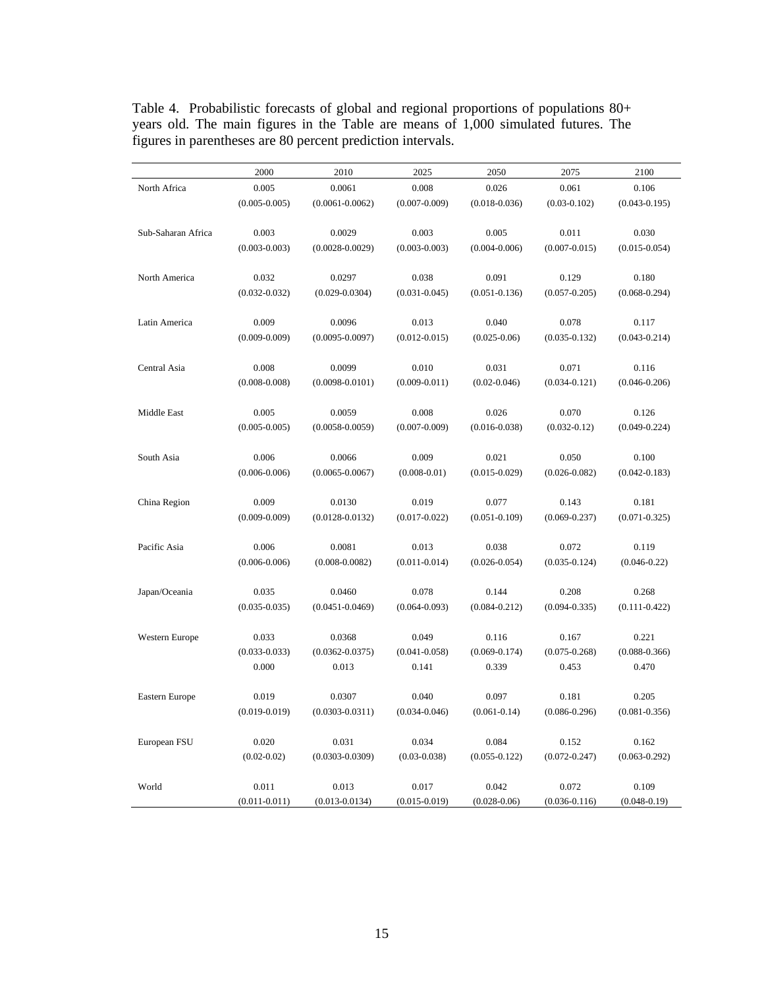|                    | 2000                       | 2010                | 2025              | 2050              | 2075              | 2100              |
|--------------------|----------------------------|---------------------|-------------------|-------------------|-------------------|-------------------|
| North Africa       | 0.005                      | 0.0061              | 0.008             | 0.026             | 0.061             | 0.106             |
|                    | $(0.005 - 0.005)$          | $(0.0061 - 0.0062)$ | $(0.007 - 0.009)$ | $(0.018 - 0.036)$ | $(0.03 - 0.102)$  | $(0.043 - 0.195)$ |
|                    |                            |                     |                   |                   |                   |                   |
| Sub-Saharan Africa | 0.003                      | 0.0029              | 0.003             | 0.005             | 0.011             | 0.030             |
|                    | $(0.003 - 0.003)$          | $(0.0028 - 0.0029)$ | $(0.003 - 0.003)$ | $(0.004 - 0.006)$ | $(0.007 - 0.015)$ | $(0.015 - 0.054)$ |
|                    |                            |                     |                   |                   |                   |                   |
| North America      | 0.032                      | 0.0297              | 0.038             | 0.091             | 0.129             | 0.180             |
|                    | $(0.032 - 0.032)$          | $(0.029 - 0.0304)$  | $(0.031 - 0.045)$ | $(0.051 - 0.136)$ | $(0.057 - 0.205)$ | $(0.068 - 0.294)$ |
|                    |                            |                     |                   |                   |                   |                   |
| Latin America      | 0.009                      | 0.0096              | 0.013             | 0.040             | 0.078             | 0.117             |
|                    | $(0.009 - 0.009)$          | $(0.0095 - 0.0097)$ | $(0.012 - 0.015)$ | $(0.025 - 0.06)$  | $(0.035 - 0.132)$ | $(0.043 - 0.214)$ |
|                    |                            |                     |                   |                   |                   |                   |
| Central Asia       | 0.008                      | 0.0099              | 0.010             | 0.031             | 0.071             | 0.116             |
|                    | $(0.008 - 0.008)$          | $(0.0098 - 0.0101)$ | $(0.009 - 0.011)$ | $(0.02 - 0.046)$  | $(0.034 - 0.121)$ | $(0.046 - 0.206)$ |
|                    |                            |                     |                   |                   |                   |                   |
| Middle East        | 0.005                      | 0.0059              | 0.008             | 0.026             | 0.070             | 0.126             |
|                    | $(0.005 - 0.005)$          | $(0.0058 - 0.0059)$ | $(0.007 - 0.009)$ | $(0.016 - 0.038)$ | $(0.032 - 0.12)$  | $(0.049 - 0.224)$ |
|                    |                            |                     |                   |                   |                   |                   |
| South Asia         | 0.006                      | 0.0066              | 0.009             | 0.021             | 0.050             | 0.100             |
|                    | $(0.006 - 0.006)$          | $(0.0065 - 0.0067)$ | $(0.008 - 0.01)$  | $(0.015 - 0.029)$ | $(0.026 - 0.082)$ | $(0.042 - 0.183)$ |
| China Region       | 0.009                      | 0.0130              | 0.019             | 0.077             | 0.143             | 0.181             |
|                    | $(0.009 - 0.009)$          | $(0.0128 - 0.0132)$ | $(0.017 - 0.022)$ | $(0.051 - 0.109)$ | $(0.069 - 0.237)$ | $(0.071 - 0.325)$ |
|                    |                            |                     |                   |                   |                   |                   |
| Pacific Asia       | 0.006                      | 0.0081              | 0.013             | 0.038             | 0.072             | 0.119             |
|                    | $(0.006 - 0.006)$          | $(0.008 - 0.0082)$  | $(0.011 - 0.014)$ | $(0.026 - 0.054)$ | $(0.035 - 0.124)$ | $(0.046 - 0.22)$  |
|                    |                            |                     |                   |                   |                   |                   |
| Japan/Oceania      | 0.035                      | 0.0460              | 0.078             | 0.144             | 0.208             | 0.268             |
|                    | $(0.035 - 0.035)$          | $(0.0451 - 0.0469)$ | $(0.064 - 0.093)$ | $(0.084 - 0.212)$ | $(0.094 - 0.335)$ | $(0.111 - 0.422)$ |
|                    |                            |                     |                   |                   |                   |                   |
| Western Europe     | 0.033                      | 0.0368              | 0.049             | 0.116             | 0.167             | 0.221             |
|                    | $(0.033 - 0.033)$          | $(0.0362 - 0.0375)$ | $(0.041 - 0.058)$ | $(0.069 - 0.174)$ | $(0.075 - 0.268)$ | $(0.088 - 0.366)$ |
|                    | 0.000                      | 0.013               | 0.141             | 0.339             | 0.453             | 0.470             |
|                    |                            |                     |                   |                   |                   |                   |
| Eastern Europe     | 0.019                      | 0.0307              | 0.040             | 0.097             | 0.181             | 0.205             |
|                    | $(0.019 - 0.019)$          | $(0.0303 - 0.0311)$ | $(0.034 - 0.046)$ | $(0.061 - 0.14)$  | $(0.086 - 0.296)$ | $(0.081 - 0.356)$ |
|                    |                            |                     |                   |                   |                   |                   |
| European FSU       | 0.020                      | 0.031               | 0.034             | 0.084             | 0.152             | 0.162             |
|                    | $(0.02 - 0.02)$            | $(0.0303 - 0.0309)$ | $(0.03 - 0.038)$  | $(0.055 - 0.122)$ | $(0.072 - 0.247)$ | $(0.063 - 0.292)$ |
|                    |                            |                     |                   |                   |                   |                   |
| World              | 0.011<br>$(0.011 - 0.011)$ | 0.013               | 0.017             | 0.042             | 0.072             | 0.109             |
|                    |                            | $(0.013 - 0.0134)$  | $(0.015 - 0.019)$ | $(0.028 - 0.06)$  | $(0.036 - 0.116)$ | $(0.048 - 0.19)$  |

Table 4. Probabilistic forecasts of global and regional proportions of populations 80+ years old. The main figures in the Table are means of 1,000 simulated futures. The figures in parentheses are 80 percent prediction intervals.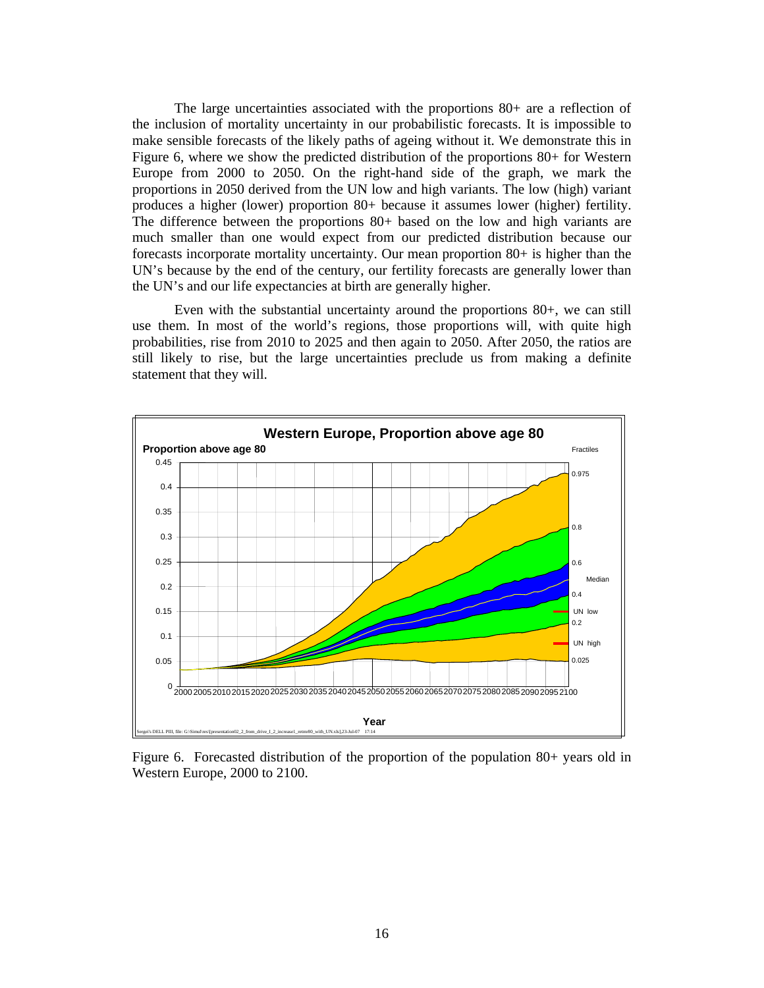The large uncertainties associated with the proportions 80+ are a reflection of the inclusion of mortality uncertainty in our probabilistic forecasts. It is impossible to make sensible forecasts of the likely paths of ageing without it. We demonstrate this in Figure 6, where we show the predicted distribution of the proportions 80+ for Western Europe from 2000 to 2050. On the right-hand side of the graph, we mark the proportions in 2050 derived from the UN low and high variants. The low (high) variant produces a higher (lower) proportion 80+ because it assumes lower (higher) fertility. The difference between the proportions 80+ based on the low and high variants are much smaller than one would expect from our predicted distribution because our forecasts incorporate mortality uncertainty. Our mean proportion 80+ is higher than the UN's because by the end of the century, our fertility forecasts are generally lower than the UN's and our life expectancies at birth are generally higher.

Even with the substantial uncertainty around the proportions 80+, we can still use them. In most of the world's regions, those proportions will, with quite high probabilities, rise from 2010 to 2025 and then again to 2050. After 2050, the ratios are still likely to rise, but the large uncertainties preclude us from making a definite statement that they will.



Figure 6. Forecasted distribution of the proportion of the population 80+ years old in Western Europe, 2000 to 2100.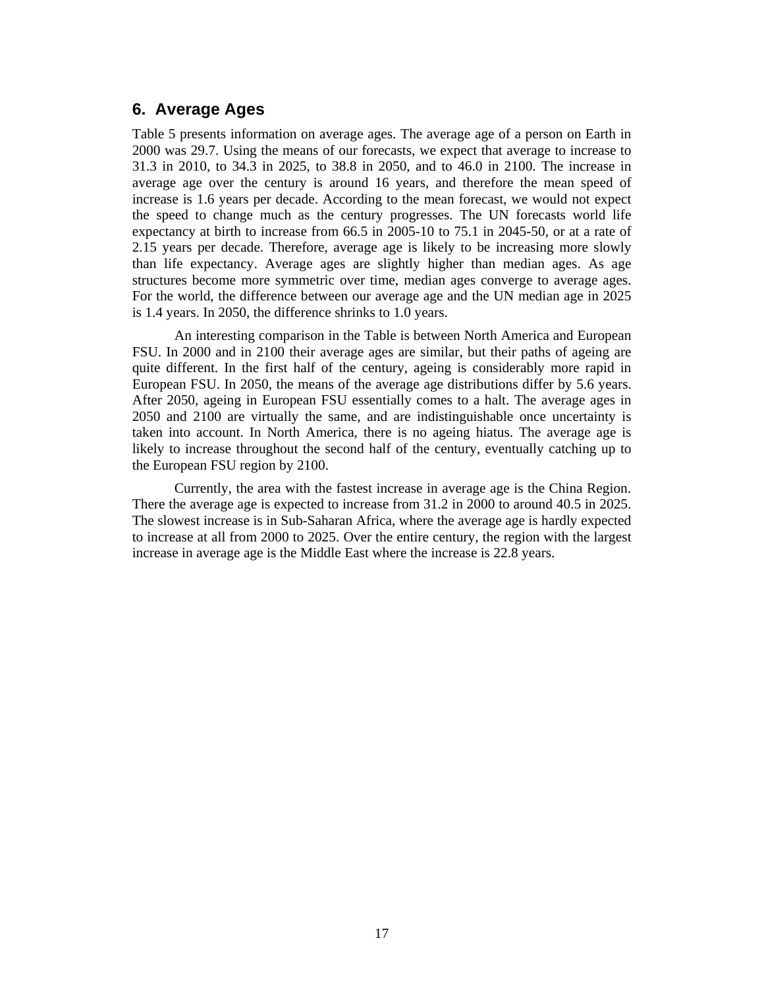#### **6. Average Ages**

Table 5 presents information on average ages. The average age of a person on Earth in 2000 was 29.7. Using the means of our forecasts, we expect that average to increase to 31.3 in 2010, to 34.3 in 2025, to 38.8 in 2050, and to 46.0 in 2100. The increase in average age over the century is around 16 years, and therefore the mean speed of increase is 1.6 years per decade. According to the mean forecast, we would not expect the speed to change much as the century progresses. The UN forecasts world life expectancy at birth to increase from 66.5 in 2005-10 to 75.1 in 2045-50, or at a rate of 2.15 years per decade. Therefore, average age is likely to be increasing more slowly than life expectancy. Average ages are slightly higher than median ages. As age structures become more symmetric over time, median ages converge to average ages. For the world, the difference between our average age and the UN median age in 2025 is 1.4 years. In 2050, the difference shrinks to 1.0 years.

An interesting comparison in the Table is between North America and European FSU. In 2000 and in 2100 their average ages are similar, but their paths of ageing are quite different. In the first half of the century, ageing is considerably more rapid in European FSU. In 2050, the means of the average age distributions differ by 5.6 years. After 2050, ageing in European FSU essentially comes to a halt. The average ages in 2050 and 2100 are virtually the same, and are indistinguishable once uncertainty is taken into account. In North America, there is no ageing hiatus. The average age is likely to increase throughout the second half of the century, eventually catching up to the European FSU region by 2100.

Currently, the area with the fastest increase in average age is the China Region. There the average age is expected to increase from 31.2 in 2000 to around 40.5 in 2025. The slowest increase is in Sub-Saharan Africa, where the average age is hardly expected to increase at all from 2000 to 2025. Over the entire century, the region with the largest increase in average age is the Middle East where the increase is 22.8 years.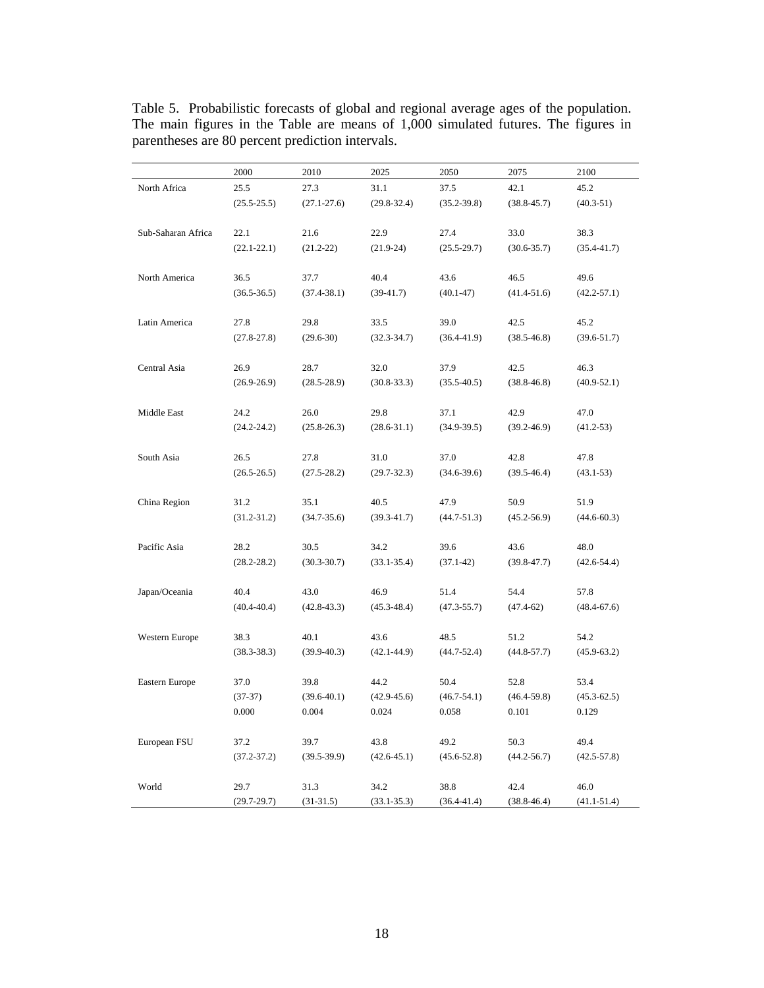Table 5. Probabilistic forecasts of global and regional average ages of the population. The main figures in the Table are means of 1,000 simulated futures. The figures in parentheses are 80 percent prediction intervals.

|                    | 2000            | 2010            | 2025            | 2050            | 2075            | 2100            |
|--------------------|-----------------|-----------------|-----------------|-----------------|-----------------|-----------------|
| North Africa       | 25.5            | 27.3            | 31.1            | 37.5            | 42.1            | 45.2            |
|                    | $(25.5 - 25.5)$ | $(27.1 - 27.6)$ | $(29.8-32.4)$   | $(35.2 - 39.8)$ | $(38.8 - 45.7)$ | $(40.3 - 51)$   |
|                    |                 |                 |                 |                 |                 |                 |
| Sub-Saharan Africa | 22.1            | 21.6            | 22.9            | 27.4            | 33.0            | 38.3            |
|                    | $(22.1 - 22.1)$ | $(21.2 - 22)$   | $(21.9-24)$     | $(25.5 - 29.7)$ | $(30.6 - 35.7)$ | $(35.4 - 41.7)$ |
|                    |                 |                 |                 |                 |                 |                 |
| North America      | 36.5            | 37.7            | 40.4            | 43.6            | 46.5            | 49.6            |
|                    | $(36.5 - 36.5)$ | $(37.4 - 38.1)$ | $(39-41.7)$     | $(40.1 - 47)$   | $(41.4 - 51.6)$ | $(42.2 - 57.1)$ |
|                    |                 |                 |                 |                 |                 |                 |
| Latin America      | 27.8            | 29.8            | 33.5            | 39.0            | 42.5            | 45.2            |
|                    | $(27.8 - 27.8)$ | $(29.6-30)$     | $(32.3 - 34.7)$ | $(36.4 - 41.9)$ | $(38.5 - 46.8)$ | $(39.6 - 51.7)$ |
|                    |                 |                 |                 |                 |                 |                 |
| Central Asia       | 26.9            | 28.7            | 32.0            | 37.9            | 42.5            | 46.3            |
|                    | $(26.9 - 26.9)$ | $(28.5 - 28.9)$ | $(30.8 - 33.3)$ | $(35.5 - 40.5)$ | $(38.8 - 46.8)$ | $(40.9 - 52.1)$ |
|                    |                 |                 |                 |                 |                 |                 |
| Middle East        | 24.2            | 26.0            | 29.8            | 37.1            | 42.9            | 47.0            |
|                    | $(24.2 - 24.2)$ | $(25.8 - 26.3)$ | $(28.6 - 31.1)$ | $(34.9 - 39.5)$ | $(39.2 - 46.9)$ | $(41.2 - 53)$   |
| South Asia         | 26.5            | 27.8            | 31.0            | 37.0            | 42.8            | 47.8            |
|                    |                 |                 |                 |                 |                 |                 |
|                    | $(26.5 - 26.5)$ | $(27.5 - 28.2)$ | $(29.7 - 32.3)$ | $(34.6 - 39.6)$ | $(39.5 - 46.4)$ | $(43.1 - 53)$   |
| China Region       | 31.2            | 35.1            | 40.5            | 47.9            | 50.9            | 51.9            |
|                    | $(31.2 - 31.2)$ | $(34.7 - 35.6)$ | $(39.3 - 41.7)$ | $(44.7 - 51.3)$ | $(45.2 - 56.9)$ | $(44.6 - 60.3)$ |
|                    |                 |                 |                 |                 |                 |                 |
| Pacific Asia       | 28.2            | 30.5            | 34.2            | 39.6            | 43.6            | 48.0            |
|                    | $(28.2 - 28.2)$ | $(30.3 - 30.7)$ | $(33.1 - 35.4)$ | $(37.1 - 42)$   | $(39.8 - 47.7)$ | $(42.6 - 54.4)$ |
|                    |                 |                 |                 |                 |                 |                 |
| Japan/Oceania      | 40.4            | 43.0            | 46.9            | 51.4            | 54.4            | 57.8            |
|                    | $(40.4 - 40.4)$ | $(42.8 - 43.3)$ | $(45.3 - 48.4)$ | $(47.3 - 55.7)$ | $(47.4-62)$     | $(48.4 - 67.6)$ |
|                    |                 |                 |                 |                 |                 |                 |
| Western Europe     | 38.3            | 40.1            | 43.6            | 48.5            | 51.2            | 54.2            |
|                    | $(38.3 - 38.3)$ | $(39.9-40.3)$   | $(42.1 - 44.9)$ | $(44.7 - 52.4)$ | $(44.8 - 57.7)$ | $(45.9 - 63.2)$ |
|                    |                 |                 |                 |                 |                 |                 |
| Eastern Europe     | 37.0            | 39.8            | 44.2            | 50.4            | 52.8            | 53.4            |
|                    | $(37-37)$       | $(39.6 - 40.1)$ | $(42.9 - 45.6)$ | $(46.7 - 54.1)$ | $(46.4 - 59.8)$ | $(45.3 - 62.5)$ |
|                    | 0.000           | 0.004           | 0.024           | 0.058           | 0.101           | 0.129           |
|                    |                 |                 |                 |                 |                 |                 |
| European FSU       | 37.2            | 39.7            | 43.8            | 49.2            | 50.3            | 49.4            |
|                    | $(37.2 - 37.2)$ | $(39.5-39.9)$   | $(42.6 - 45.1)$ | $(45.6 - 52.8)$ | $(44.2 - 56.7)$ | $(42.5 - 57.8)$ |
|                    |                 |                 |                 |                 |                 |                 |
| World              | 29.7            | 31.3            | 34.2            | 38.8            | 42.4            | 46.0            |
|                    | $(29.7 - 29.7)$ | $(31-31.5)$     | $(33.1 - 35.3)$ | $(36.4 - 41.4)$ | $(38.8 - 46.4)$ | $(41.1 - 51.4)$ |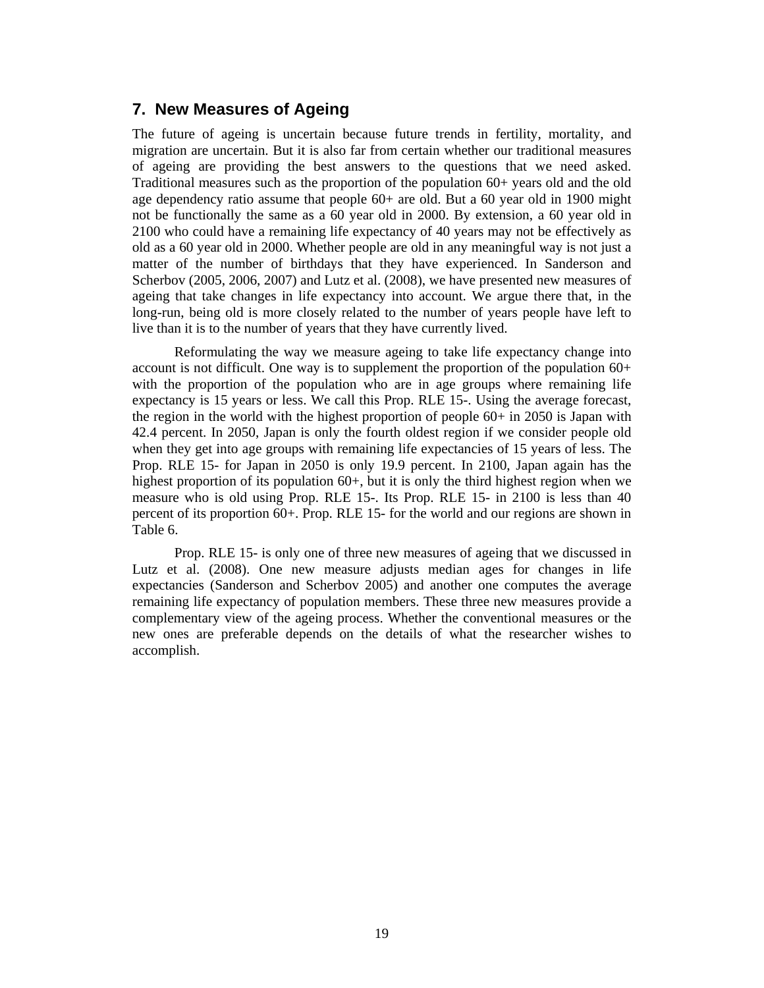#### **7. New Measures of Ageing**

The future of ageing is uncertain because future trends in fertility, mortality, and migration are uncertain. But it is also far from certain whether our traditional measures of ageing are providing the best answers to the questions that we need asked. Traditional measures such as the proportion of the population 60+ years old and the old age dependency ratio assume that people 60+ are old. But a 60 year old in 1900 might not be functionally the same as a 60 year old in 2000. By extension, a 60 year old in 2100 who could have a remaining life expectancy of 40 years may not be effectively as old as a 60 year old in 2000. Whether people are old in any meaningful way is not just a matter of the number of birthdays that they have experienced. In Sanderson and Scherbov (2005, 2006, 2007) and Lutz et al. (2008), we have presented new measures of ageing that take changes in life expectancy into account. We argue there that, in the long-run, being old is more closely related to the number of years people have left to live than it is to the number of years that they have currently lived.

Reformulating the way we measure ageing to take life expectancy change into account is not difficult. One way is to supplement the proportion of the population 60+ with the proportion of the population who are in age groups where remaining life expectancy is 15 years or less. We call this Prop. RLE 15-. Using the average forecast, the region in the world with the highest proportion of people 60+ in 2050 is Japan with 42.4 percent. In 2050, Japan is only the fourth oldest region if we consider people old when they get into age groups with remaining life expectancies of 15 years of less. The Prop. RLE 15- for Japan in 2050 is only 19.9 percent. In 2100, Japan again has the highest proportion of its population  $60<sup>+</sup>$ , but it is only the third highest region when we measure who is old using Prop. RLE 15-. Its Prop. RLE 15- in 2100 is less than 40 percent of its proportion 60+. Prop. RLE 15- for the world and our regions are shown in Table 6.

Prop. RLE 15- is only one of three new measures of ageing that we discussed in Lutz et al. (2008). One new measure adjusts median ages for changes in life expectancies (Sanderson and Scherbov 2005) and another one computes the average remaining life expectancy of population members. These three new measures provide a complementary view of the ageing process. Whether the conventional measures or the new ones are preferable depends on the details of what the researcher wishes to accomplish.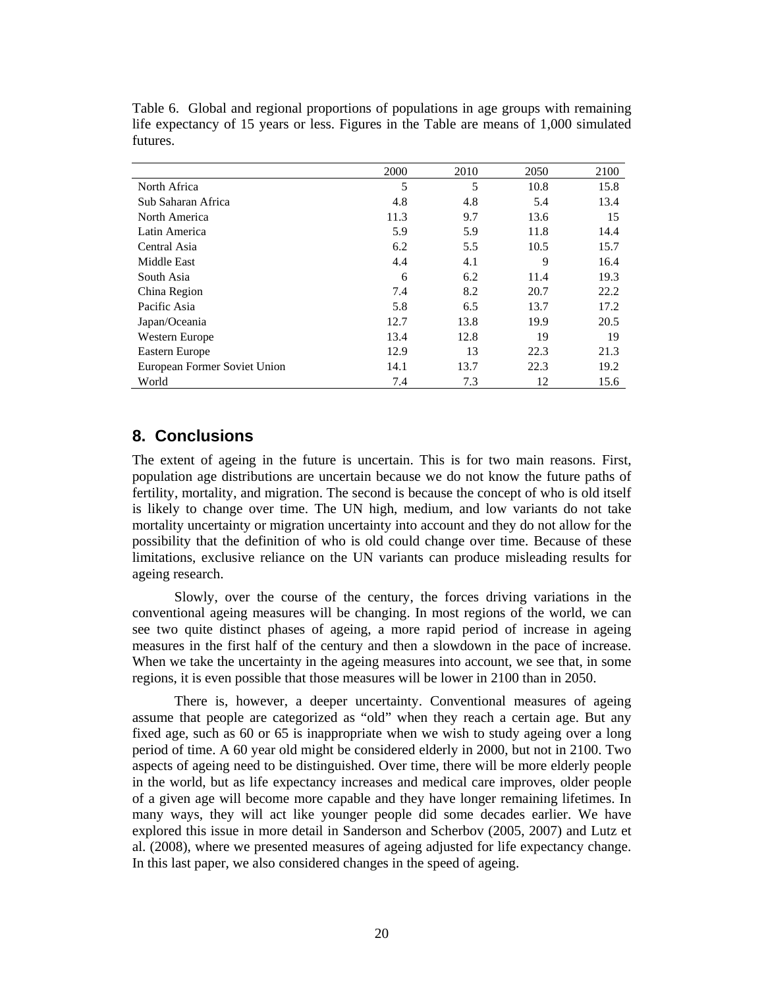|                              | 2000 | 2010 | 2050 | 2100 |
|------------------------------|------|------|------|------|
| North Africa                 | 5    | 5    | 10.8 | 15.8 |
| Sub Saharan Africa           | 4.8  | 4.8  | 5.4  | 13.4 |
| North America                | 11.3 | 9.7  | 13.6 | 15   |
| Latin America                | 5.9  | 5.9  | 11.8 | 14.4 |
| Central Asia                 | 6.2  | 5.5  | 10.5 | 15.7 |
| Middle East                  | 4.4  | 4.1  | 9    | 16.4 |
| South Asia                   | 6    | 6.2  | 11.4 | 19.3 |
| China Region                 | 7.4  | 8.2  | 20.7 | 22.2 |
| Pacific Asia                 | 5.8  | 6.5  | 13.7 | 17.2 |
| Japan/Oceania                | 12.7 | 13.8 | 19.9 | 20.5 |
| Western Europe               | 13.4 | 12.8 | 19   | 19   |
| Eastern Europe               | 12.9 | 13   | 22.3 | 21.3 |
| European Former Soviet Union | 14.1 | 13.7 | 22.3 | 19.2 |
| World                        | 7.4  | 7.3  | 12   | 15.6 |

Table 6. Global and regional proportions of populations in age groups with remaining life expectancy of 15 years or less. Figures in the Table are means of 1,000 simulated futures.

#### **8. Conclusions**

The extent of ageing in the future is uncertain. This is for two main reasons. First, population age distributions are uncertain because we do not know the future paths of fertility, mortality, and migration. The second is because the concept of who is old itself is likely to change over time. The UN high, medium, and low variants do not take mortality uncertainty or migration uncertainty into account and they do not allow for the possibility that the definition of who is old could change over time. Because of these limitations, exclusive reliance on the UN variants can produce misleading results for ageing research.

Slowly, over the course of the century, the forces driving variations in the conventional ageing measures will be changing. In most regions of the world, we can see two quite distinct phases of ageing, a more rapid period of increase in ageing measures in the first half of the century and then a slowdown in the pace of increase. When we take the uncertainty in the ageing measures into account, we see that, in some regions, it is even possible that those measures will be lower in 2100 than in 2050.

There is, however, a deeper uncertainty. Conventional measures of ageing assume that people are categorized as "old" when they reach a certain age. But any fixed age, such as 60 or 65 is inappropriate when we wish to study ageing over a long period of time. A 60 year old might be considered elderly in 2000, but not in 2100. Two aspects of ageing need to be distinguished. Over time, there will be more elderly people in the world, but as life expectancy increases and medical care improves, older people of a given age will become more capable and they have longer remaining lifetimes. In many ways, they will act like younger people did some decades earlier. We have explored this issue in more detail in Sanderson and Scherbov (2005, 2007) and Lutz et al. (2008), where we presented measures of ageing adjusted for life expectancy change. In this last paper, we also considered changes in the speed of ageing.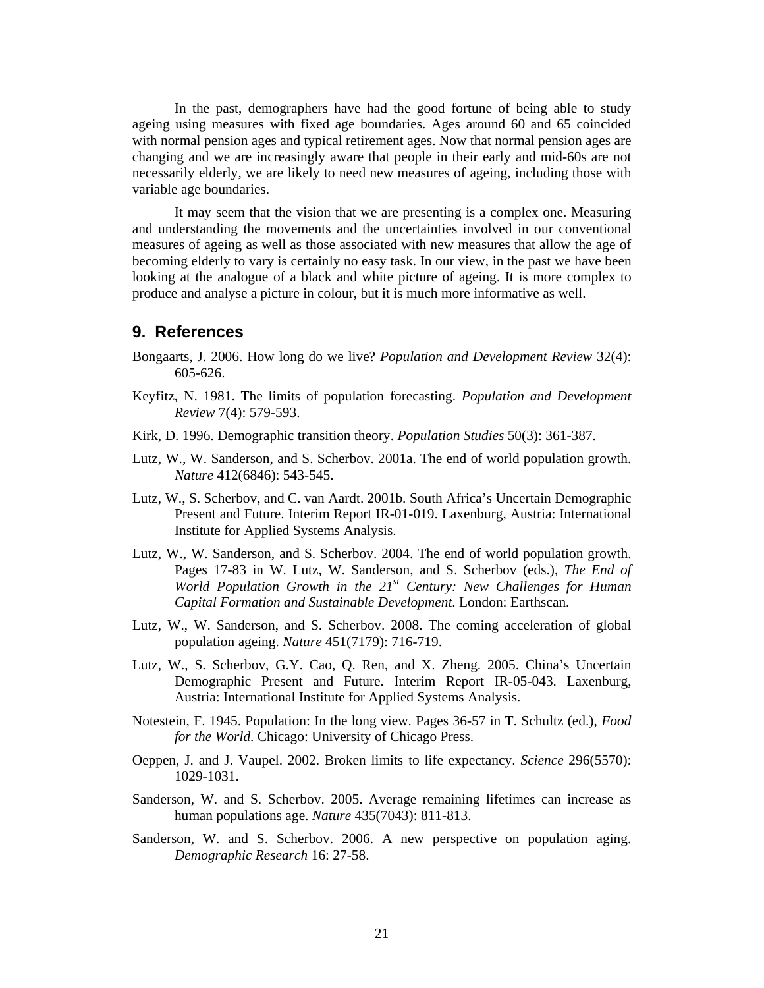In the past, demographers have had the good fortune of being able to study ageing using measures with fixed age boundaries. Ages around 60 and 65 coincided with normal pension ages and typical retirement ages. Now that normal pension ages are changing and we are increasingly aware that people in their early and mid-60s are not necessarily elderly, we are likely to need new measures of ageing, including those with variable age boundaries.

It may seem that the vision that we are presenting is a complex one. Measuring and understanding the movements and the uncertainties involved in our conventional measures of ageing as well as those associated with new measures that allow the age of becoming elderly to vary is certainly no easy task. In our view, in the past we have been looking at the analogue of a black and white picture of ageing. It is more complex to produce and analyse a picture in colour, but it is much more informative as well.

#### **9. References**

- Bongaarts, J. 2006. How long do we live? *Population and Development Review* 32(4): 605-626.
- Keyfitz, N. 1981. The limits of population forecasting. *Population and Development Review* 7(4): 579-593.
- Kirk, D. 1996. Demographic transition theory. *Population Studies* 50(3): 361-387.
- Lutz, W., W. Sanderson, and S. Scherbov. 2001a. The end of world population growth. *Nature* 412(6846): 543-545.
- Lutz, W., S. Scherbov, and C. van Aardt. 2001b. South Africa's Uncertain Demographic Present and Future. Interim Report IR-01-019. Laxenburg, Austria: International Institute for Applied Systems Analysis.
- Lutz, W., W. Sanderson, and S. Scherbov. 2004. The end of world population growth. Pages 17-83 in W. Lutz, W. Sanderson, and S. Scherbov (eds.), *The End of World Population Growth in the 21st Century: New Challenges for Human Capital Formation and Sustainable Development*. London: Earthscan.
- Lutz, W., W. Sanderson, and S. Scherbov. 2008. The coming acceleration of global population ageing. *Nature* 451(7179): 716-719.
- Lutz, W., S. Scherbov, G.Y. Cao, Q. Ren, and X. Zheng. 2005. China's Uncertain Demographic Present and Future. Interim Report IR-05-043. Laxenburg, Austria: International Institute for Applied Systems Analysis.
- Notestein, F. 1945. Population: In the long view. Pages 36-57 in T. Schultz (ed.), *Food for the World*. Chicago: University of Chicago Press.
- Oeppen, J. and J. Vaupel. 2002. Broken limits to life expectancy. *Science* 296(5570): 1029-1031.
- Sanderson, W. and S. Scherbov. 2005. Average remaining lifetimes can increase as human populations age. *Nature* 435(7043): 811-813.
- Sanderson, W. and S. Scherbov. 2006. A new perspective on population aging. *Demographic Research* 16: 27-58.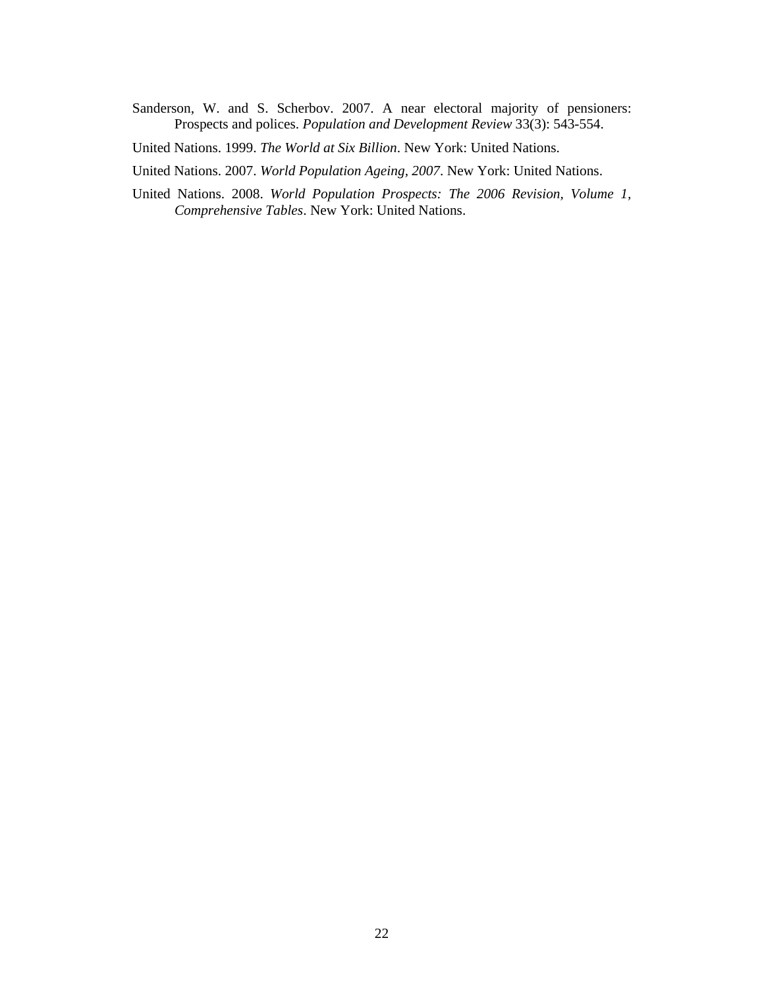- Sanderson, W. and S. Scherbov. 2007. A near electoral majority of pensioners: Prospects and polices. *Population and Development Review* 33(3): 543-554.
- United Nations. 1999. *The World at Six Billion*. New York: United Nations.
- United Nations. 2007. *World Population Ageing, 2007*. New York: United Nations.
- United Nations. 2008. *World Population Prospects: The 2006 Revision, Volume 1, Comprehensive Tables*. New York: United Nations.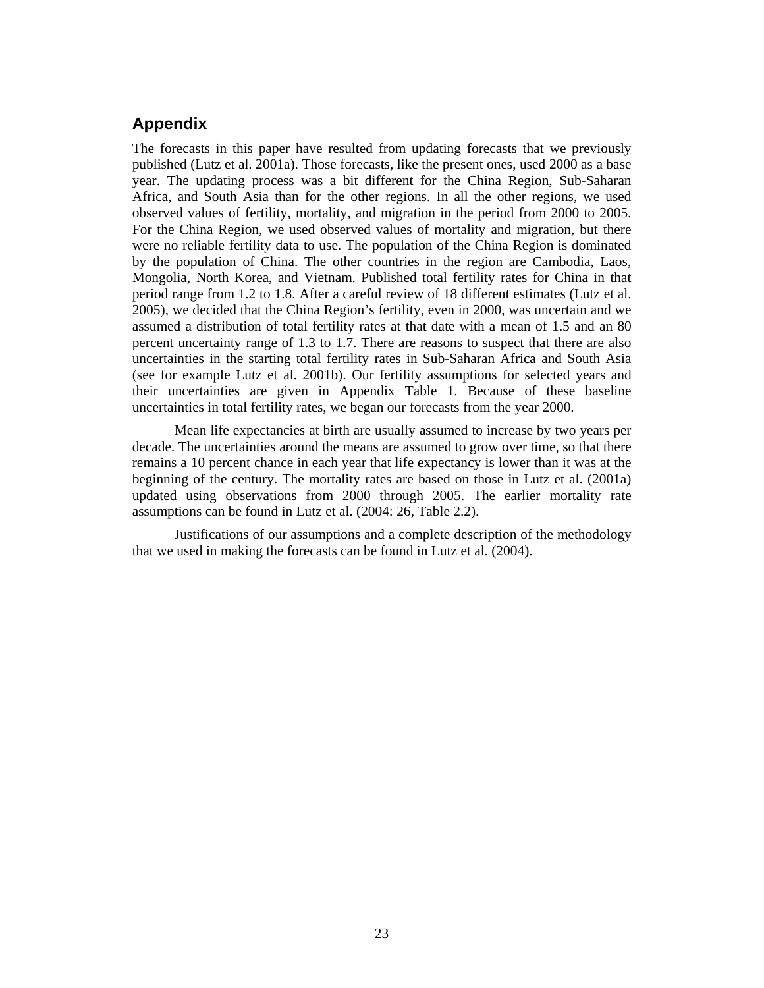## **Appendix**

The forecasts in this paper have resulted from updating forecasts that we previously published (Lutz et al. 2001a). Those forecasts, like the present ones, used 2000 as a base year. The updating process was a bit different for the China Region, Sub-Saharan Africa, and South Asia than for the other regions. In all the other regions, we used observed values of fertility, mortality, and migration in the period from 2000 to 2005. For the China Region, we used observed values of mortality and migration, but there were no reliable fertility data to use. The population of the China Region is dominated by the population of China. The other countries in the region are Cambodia, Laos, Mongolia, North Korea, and Vietnam. Published total fertility rates for China in that period range from 1.2 to 1.8. After a careful review of 18 different estimates (Lutz et al. 2005), we decided that the China Region's fertility, even in 2000, was uncertain and we assumed a distribution of total fertility rates at that date with a mean of 1.5 and an 80 percent uncertainty range of 1.3 to 1.7. There are reasons to suspect that there are also uncertainties in the starting total fertility rates in Sub-Saharan Africa and South Asia (see for example Lutz et al. 2001b). Our fertility assumptions for selected years and their uncertainties are given in Appendix Table 1. Because of these baseline uncertainties in total fertility rates, we began our forecasts from the year 2000.

Mean life expectancies at birth are usually assumed to increase by two years per decade. The uncertainties around the means are assumed to grow over time, so that there remains a 10 percent chance in each year that life expectancy is lower than it was at the beginning of the century. The mortality rates are based on those in Lutz et al. (2001a) updated using observations from 2000 through 2005. The earlier mortality rate assumptions can be found in Lutz et al. (2004: 26, Table 2.2).

Justifications of our assumptions and a complete description of the methodology that we used in making the forecasts can be found in Lutz et al. (2004).